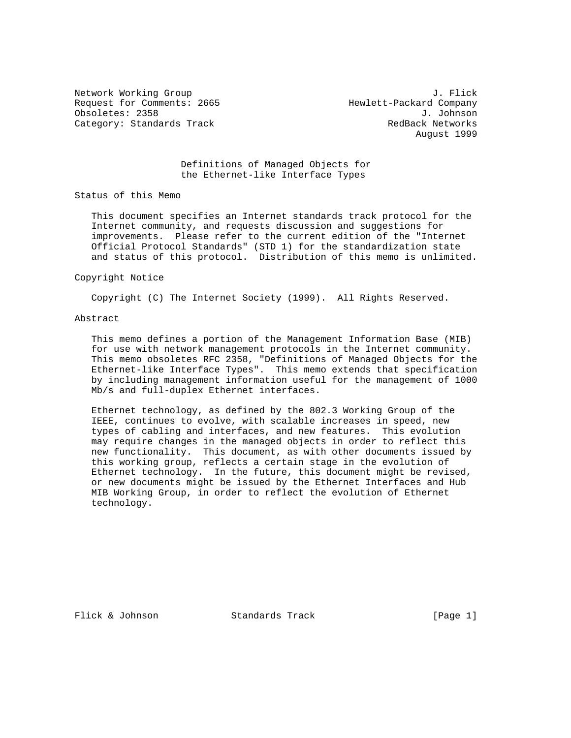Network Working Group 3. The Second Second Second Second Second Second Second Second Second Second Second Second Second Second Second Second Second Second Second Second Second Second Second Second Second Second Second Seco Request for Comments: 2665 Hewlett-Packard Company Obsoletes: 2358 J. Johnson<br>Category: Standards Track Category: Standards Track Category: Standards Track

August 1999

### Definitions of Managed Objects for the Ethernet-like Interface Types

Status of this Memo

 This document specifies an Internet standards track protocol for the Internet community, and requests discussion and suggestions for improvements. Please refer to the current edition of the "Internet Official Protocol Standards" (STD 1) for the standardization state and status of this protocol. Distribution of this memo is unlimited.

#### Copyright Notice

Copyright (C) The Internet Society (1999). All Rights Reserved.

#### Abstract

 This memo defines a portion of the Management Information Base (MIB) for use with network management protocols in the Internet community. This memo obsoletes RFC 2358, "Definitions of Managed Objects for the Ethernet-like Interface Types". This memo extends that specification by including management information useful for the management of 1000 Mb/s and full-duplex Ethernet interfaces.

 Ethernet technology, as defined by the 802.3 Working Group of the IEEE, continues to evolve, with scalable increases in speed, new types of cabling and interfaces, and new features. This evolution may require changes in the managed objects in order to reflect this new functionality. This document, as with other documents issued by this working group, reflects a certain stage in the evolution of Ethernet technology. In the future, this document might be revised, or new documents might be issued by the Ethernet Interfaces and Hub MIB Working Group, in order to reflect the evolution of Ethernet technology.

Flick & Johnson Standards Track [Page 1]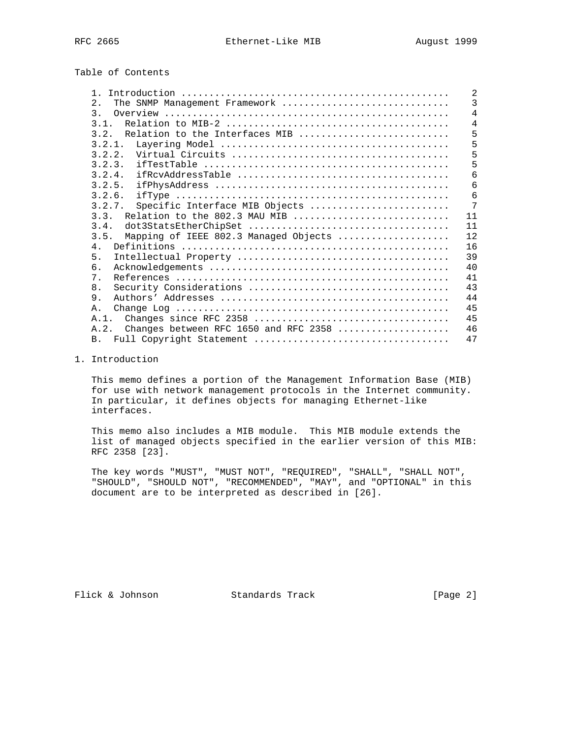Table of Contents

|                                               | 2              |
|-----------------------------------------------|----------------|
| The SNMP Management Framework<br>2.           | $\mathbf{3}$   |
| $\mathcal{E}$                                 | $\overline{4}$ |
| 3.1.                                          | $\overline{4}$ |
| 3.2.<br>Relation to the Interfaces MIB        | 5              |
| $3, 2, 1$ .                                   | 5              |
| 3.2.2.                                        | 5              |
| 3.2.3.                                        | 5              |
| 3.2.4.                                        | 6              |
| 3.2.5.                                        | 6              |
| 3.2.6.                                        | 6              |
| Specific Interface MIB Objects<br>3.2.7.      | 7              |
| 3.3.<br>Relation to the 802.3 MAU MIB         | 11             |
| 3.4.                                          | 11             |
| 3.5.<br>Mapping of IEEE 802.3 Managed Objects | 12             |
| 4 <sub>1</sub>                                | 16             |
| 5 <sub>1</sub>                                | 39             |
| б.                                            | 40             |
| $7$ .                                         | 41             |
| 8.                                            | 43             |
| 9.                                            | 44             |
| Α.                                            | 45             |
| A.1.                                          | 45             |
| Changes between RFC 1650 and RFC 2358<br>A.2. | 46             |
| B <sub>1</sub>                                | 47             |

# 1. Introduction

 This memo defines a portion of the Management Information Base (MIB) for use with network management protocols in the Internet community. In particular, it defines objects for managing Ethernet-like interfaces.

 This memo also includes a MIB module. This MIB module extends the list of managed objects specified in the earlier version of this MIB: RFC 2358 [23].

 The key words "MUST", "MUST NOT", "REQUIRED", "SHALL", "SHALL NOT", "SHOULD", "SHOULD NOT", "RECOMMENDED", "MAY", and "OPTIONAL" in this document are to be interpreted as described in [26].

Flick & Johnson Standards Track [Page 2]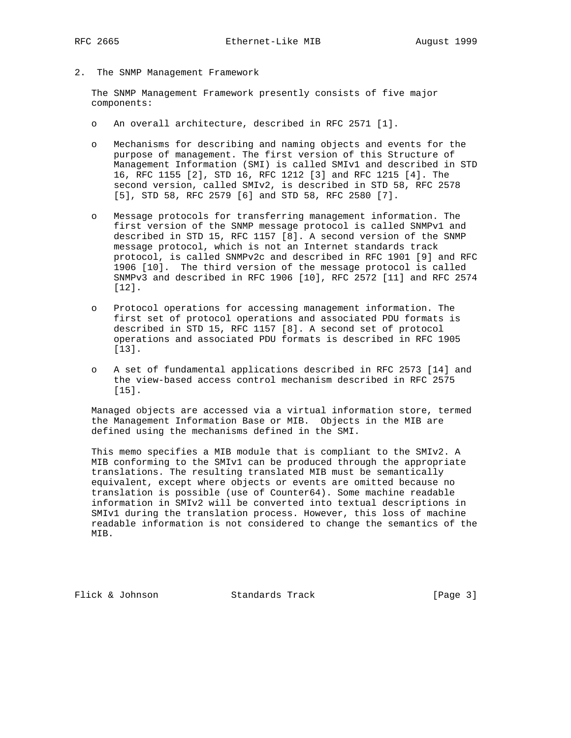2. The SNMP Management Framework

 The SNMP Management Framework presently consists of five major components:

- o An overall architecture, described in RFC 2571 [1].
- o Mechanisms for describing and naming objects and events for the purpose of management. The first version of this Structure of Management Information (SMI) is called SMIv1 and described in STD 16, RFC 1155 [2], STD 16, RFC 1212 [3] and RFC 1215 [4]. The second version, called SMIv2, is described in STD 58, RFC 2578 [5], STD 58, RFC 2579 [6] and STD 58, RFC 2580 [7].
- o Message protocols for transferring management information. The first version of the SNMP message protocol is called SNMPv1 and described in STD 15, RFC 1157 [8]. A second version of the SNMP message protocol, which is not an Internet standards track protocol, is called SNMPv2c and described in RFC 1901 [9] and RFC 1906 [10]. The third version of the message protocol is called SNMPv3 and described in RFC 1906 [10], RFC 2572 [11] and RFC 2574 [12].
- o Protocol operations for accessing management information. The first set of protocol operations and associated PDU formats is described in STD 15, RFC 1157 [8]. A second set of protocol operations and associated PDU formats is described in RFC 1905 [13].
- o A set of fundamental applications described in RFC 2573 [14] and the view-based access control mechanism described in RFC 2575 [15].

 Managed objects are accessed via a virtual information store, termed the Management Information Base or MIB. Objects in the MIB are defined using the mechanisms defined in the SMI.

 This memo specifies a MIB module that is compliant to the SMIv2. A MIB conforming to the SMIv1 can be produced through the appropriate translations. The resulting translated MIB must be semantically equivalent, except where objects or events are omitted because no translation is possible (use of Counter64). Some machine readable information in SMIv2 will be converted into textual descriptions in SMIv1 during the translation process. However, this loss of machine readable information is not considered to change the semantics of the MIB.

Flick & Johnson Standards Track [Page 3]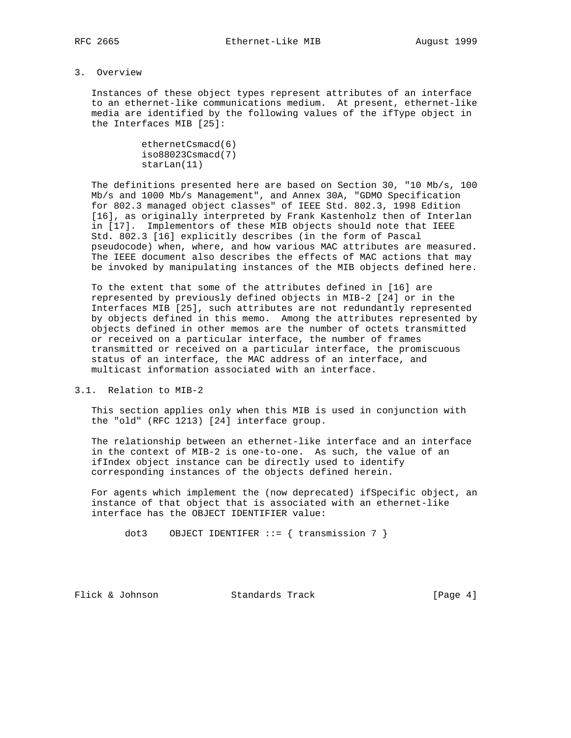# 3. Overview

 Instances of these object types represent attributes of an interface to an ethernet-like communications medium. At present, ethernet-like media are identified by the following values of the ifType object in the Interfaces MIB [25]:

```
 ethernetCsmacd(6)
 iso88023Csmacd(7)
 starLan(11)
```
 The definitions presented here are based on Section 30, "10 Mb/s, 100 Mb/s and 1000 Mb/s Management", and Annex 30A, "GDMO Specification for 802.3 managed object classes" of IEEE Std. 802.3, 1998 Edition [16], as originally interpreted by Frank Kastenholz then of Interlan in [17]. Implementors of these MIB objects should note that IEEE Std. 802.3 [16] explicitly describes (in the form of Pascal pseudocode) when, where, and how various MAC attributes are measured. The IEEE document also describes the effects of MAC actions that may be invoked by manipulating instances of the MIB objects defined here.

 To the extent that some of the attributes defined in [16] are represented by previously defined objects in MIB-2 [24] or in the Interfaces MIB [25], such attributes are not redundantly represented by objects defined in this memo. Among the attributes represented by objects defined in other memos are the number of octets transmitted or received on a particular interface, the number of frames transmitted or received on a particular interface, the promiscuous status of an interface, the MAC address of an interface, and multicast information associated with an interface.

3.1. Relation to MIB-2

 This section applies only when this MIB is used in conjunction with the "old" (RFC 1213) [24] interface group.

 The relationship between an ethernet-like interface and an interface in the context of MIB-2 is one-to-one. As such, the value of an ifIndex object instance can be directly used to identify corresponding instances of the objects defined herein.

 For agents which implement the (now deprecated) ifSpecific object, an instance of that object that is associated with an ethernet-like interface has the OBJECT IDENTIFIER value:

```
dot3 OBJECT IDENTIFER ::= { transmission 7 }
```
Flick & Johnson Standards Track [Page 4]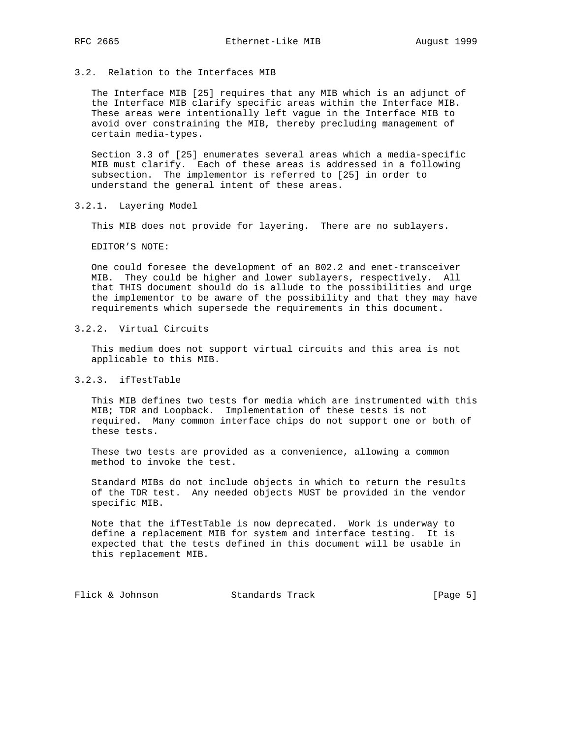# 3.2. Relation to the Interfaces MIB

 The Interface MIB [25] requires that any MIB which is an adjunct of the Interface MIB clarify specific areas within the Interface MIB. These areas were intentionally left vague in the Interface MIB to avoid over constraining the MIB, thereby precluding management of certain media-types.

 Section 3.3 of [25] enumerates several areas which a media-specific MIB must clarify. Each of these areas is addressed in a following subsection. The implementor is referred to [25] in order to understand the general intent of these areas.

# 3.2.1. Layering Model

This MIB does not provide for layering. There are no sublayers.

EDITOR'S NOTE:

 One could foresee the development of an 802.2 and enet-transceiver MIB. They could be higher and lower sublayers, respectively. All that THIS document should do is allude to the possibilities and urge the implementor to be aware of the possibility and that they may have requirements which supersede the requirements in this document.

# 3.2.2. Virtual Circuits

 This medium does not support virtual circuits and this area is not applicable to this MIB.

# 3.2.3. ifTestTable

 This MIB defines two tests for media which are instrumented with this MIB; TDR and Loopback. Implementation of these tests is not required. Many common interface chips do not support one or both of these tests.

 These two tests are provided as a convenience, allowing a common method to invoke the test.

 Standard MIBs do not include objects in which to return the results of the TDR test. Any needed objects MUST be provided in the vendor specific MIB.

 Note that the ifTestTable is now deprecated. Work is underway to define a replacement MIB for system and interface testing. It is expected that the tests defined in this document will be usable in this replacement MIB.

Flick & Johnson Standards Track [Page 5]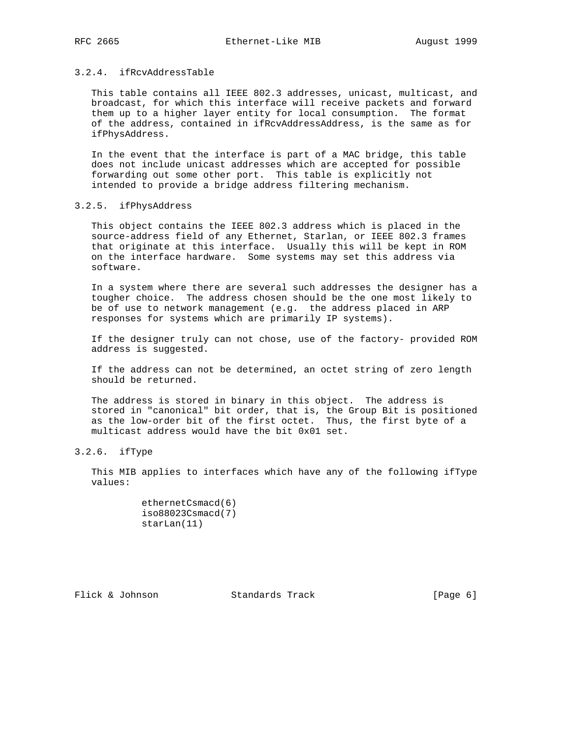### 3.2.4. ifRcvAddressTable

 This table contains all IEEE 802.3 addresses, unicast, multicast, and broadcast, for which this interface will receive packets and forward them up to a higher layer entity for local consumption. The format of the address, contained in ifRcvAddressAddress, is the same as for ifPhysAddress.

 In the event that the interface is part of a MAC bridge, this table does not include unicast addresses which are accepted for possible forwarding out some other port. This table is explicitly not intended to provide a bridge address filtering mechanism.

#### 3.2.5. ifPhysAddress

 This object contains the IEEE 802.3 address which is placed in the source-address field of any Ethernet, Starlan, or IEEE 802.3 frames that originate at this interface. Usually this will be kept in ROM on the interface hardware. Some systems may set this address via software.

 In a system where there are several such addresses the designer has a tougher choice. The address chosen should be the one most likely to be of use to network management (e.g. the address placed in ARP responses for systems which are primarily IP systems).

 If the designer truly can not chose, use of the factory- provided ROM address is suggested.

 If the address can not be determined, an octet string of zero length should be returned.

 The address is stored in binary in this object. The address is stored in "canonical" bit order, that is, the Group Bit is positioned as the low-order bit of the first octet. Thus, the first byte of a multicast address would have the bit 0x01 set.

# 3.2.6. ifType

 This MIB applies to interfaces which have any of the following ifType values:

| ethernetCsmacd(6) |
|-------------------|
| iso88023Csmacd(7) |
| starLan(11)       |

Flick & Johnson Standards Track [Page 6]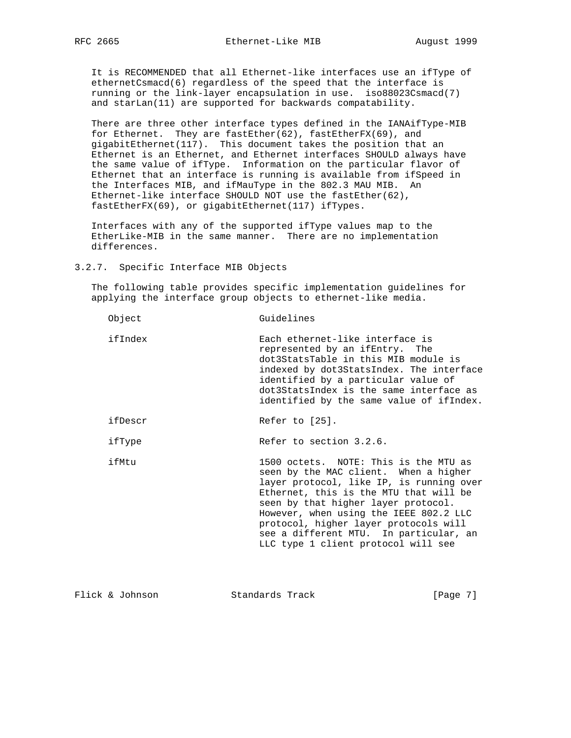It is RECOMMENDED that all Ethernet-like interfaces use an ifType of ethernetCsmacd(6) regardless of the speed that the interface is running or the link-layer encapsulation in use. iso88023Csmacd(7) and starLan(11) are supported for backwards compatability.

 There are three other interface types defined in the IANAifType-MIB for Ethernet. They are fastEther(62), fastEtherFX(69), and gigabitEthernet(117). This document takes the position that an Ethernet is an Ethernet, and Ethernet interfaces SHOULD always have the same value of ifType. Information on the particular flavor of Ethernet that an interface is running is available from ifSpeed in the Interfaces MIB, and ifMauType in the 802.3 MAU MIB. An Ethernet-like interface SHOULD NOT use the fastEther(62), fastEtherFX(69), or gigabitEthernet(117) ifTypes.

 Interfaces with any of the supported ifType values map to the EtherLike-MIB in the same manner. There are no implementation differences.

3.2.7. Specific Interface MIB Objects

 The following table provides specific implementation guidelines for applying the interface group objects to ethernet-like media.

| Object  | Guidelines                                                                                                                                                                                                                                                                                                                                                                      |
|---------|---------------------------------------------------------------------------------------------------------------------------------------------------------------------------------------------------------------------------------------------------------------------------------------------------------------------------------------------------------------------------------|
| ifIndex | Each ethernet-like interface is<br>represented by an ifEntry. The<br>dot3StatsTable in this MIB module is<br>indexed by dot3StatsIndex. The interface<br>identified by a particular value of<br>dot3StatsIndex is the same interface as<br>identified by the same value of ifIndex.                                                                                             |
| ifDescr | Refer to [25].                                                                                                                                                                                                                                                                                                                                                                  |
| ifType  | Refer to section 3.2.6.                                                                                                                                                                                                                                                                                                                                                         |
| ifMtu   | 1500 octets. NOTE: This is the MTU as<br>seen by the MAC client. When a higher<br>layer protocol, like IP, is running over<br>Ethernet, this is the MTU that will be<br>seen by that higher layer protocol.<br>However, when using the IEEE 802.2 LLC<br>protocol, higher layer protocols will<br>see a different MTU. In particular, an<br>LLC type 1 client protocol will see |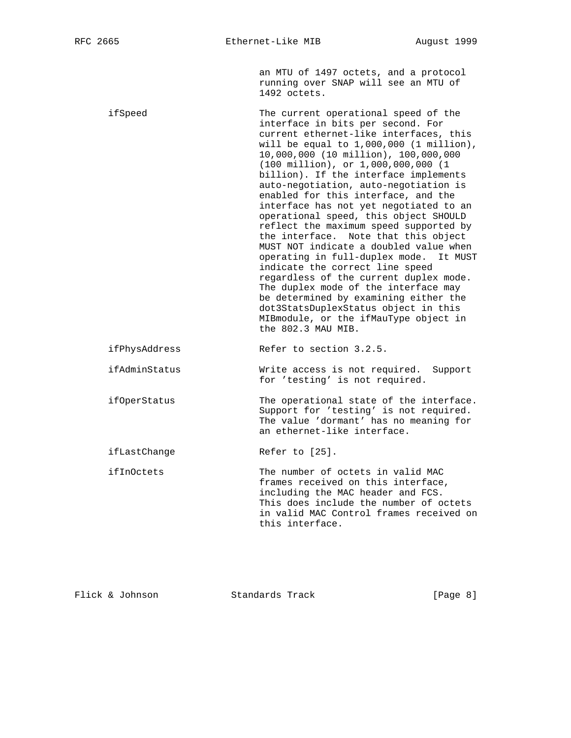an MTU of 1497 octets, and a protocol running over SNAP will see an MTU of 1492 octets.

 ifSpeed The current operational speed of the interface in bits per second. For current ethernet-like interfaces, this will be equal to 1,000,000 (1 million), 10,000,000 (10 million), 100,000,000 (100 million), or 1,000,000,000 (1 billion). If the interface implements auto-negotiation, auto-negotiation is enabled for this interface, and the interface has not yet negotiated to an operational speed, this object SHOULD reflect the maximum speed supported by the interface. Note that this object MUST NOT indicate a doubled value when operating in full-duplex mode. It MUST indicate the correct line speed regardless of the current duplex mode. The duplex mode of the interface may be determined by examining either the dot3StatsDuplexStatus object in this MIBmodule, or the ifMauType object in the 802.3 MAU MIB. ifPhysAddress Refer to section 3.2.5.

 ifAdminStatus Write access is not required. Support for 'testing' is not required.

 ifOperStatus The operational state of the interface. Support for 'testing' is not required. The value 'dormant' has no meaning for an ethernet-like interface.

ifLastChange Refer to [25].

 ifInOctets The number of octets in valid MAC frames received on this interface, including the MAC header and FCS. This does include the number of octets in valid MAC Control frames received on this interface.

Flick & Johnson Standards Track [Page 8]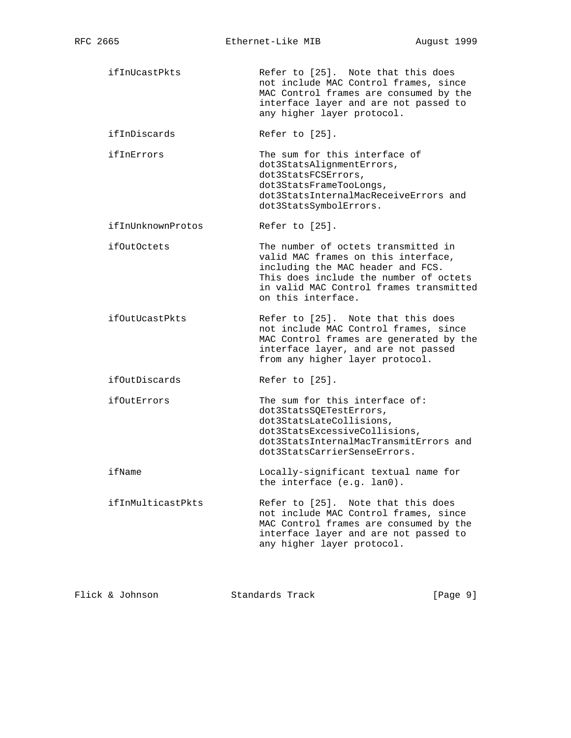ifInUcastPkts Refer to [25]. Note that this does not include MAC Control frames, since MAC Control frames are consumed by the interface layer and are not passed to any higher layer protocol. ifInDiscards Refer to [25]. ifInErrors The sum for this interface of dot3StatsAlignmentErrors, dot3StatsFCSErrors, dot3StatsFrameTooLongs, dot3StatsInternalMacReceiveErrors and dot3StatsSymbolErrors. ifInUnknownProtos Refer to [25]. ifOutOctets The number of octets transmitted in valid MAC frames on this interface, including the MAC header and FCS. This does include the number of octets in valid MAC Control frames transmitted on this interface. ifOutUcastPkts Refer to [25]. Note that this does not include MAC Control frames, since MAC Control frames are generated by the interface layer, and are not passed from any higher layer protocol. ifOutDiscards Refer to [25]. ifOutErrors The sum for this interface of: dot3StatsSQETestErrors, dot3StatsLateCollisions, dot3StatsExcessiveCollisions, dot3StatsInternalMacTransmitErrors and dot3StatsCarrierSenseErrors. ifName Locally-significant textual name for the interface (e.g. lan0). ifInMulticastPkts Refer to [25]. Note that this does not include MAC Control frames, since MAC Control frames are consumed by the interface layer and are not passed to any higher layer protocol.

Flick & Johnson Standards Track [Page 9]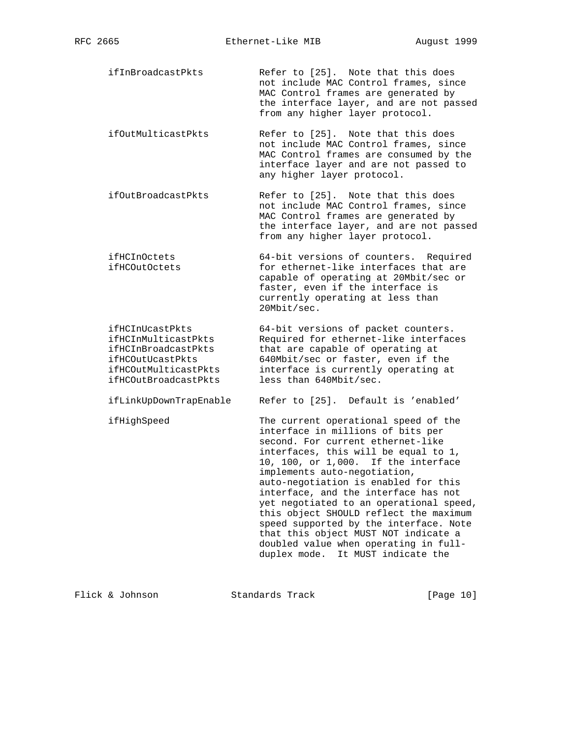ifInBroadcastPkts Refer to [25]. Note that this does not include MAC Control frames, since MAC Control frames are generated by the interface layer, and are not passed from any higher layer protocol.

 ifOutMulticastPkts Refer to [25]. Note that this does not include MAC Control frames, since MAC Control frames are consumed by the interface layer and are not passed to any higher layer protocol.

- ifOutBroadcastPkts Refer to [25]. Note that this does not include MAC Control frames, since MAC Control frames are generated by the interface layer, and are not passed from any higher layer protocol.
- ifHCInOctets 64-bit versions of counters. Required ifHCOutOctets for ethernet-like interfaces that are capable of operating at 20Mbit/sec or faster, even if the interface is currently operating at less than 20Mbit/sec.

 ifHCInUcastPkts 64-bit versions of packet counters. ifHCInMulticastPkts Required for ethernet-like interfaces ifHCInBroadcastPkts that are capable of operating at ifHCOutUcastPkts 640Mbit/sec or faster, even if the ifHCOutMulticastPkts interface is currently operating at ifHCOutBroadcastPkts less than 640Mbit/sec.

ifLinkUpDownTrapEnable Refer to [25]. Default is 'enabled'

ifHighSpeed The current operational speed of the

 interface in millions of bits per second. For current ethernet-like interfaces, this will be equal to 1, 10, 100, or 1,000. If the interface implements auto-negotiation, auto-negotiation is enabled for this interface, and the interface has not yet negotiated to an operational speed, this object SHOULD reflect the maximum speed supported by the interface. Note that this object MUST NOT indicate a doubled value when operating in full duplex mode. It MUST indicate the

Flick & Johnson Standards Track [Page 10]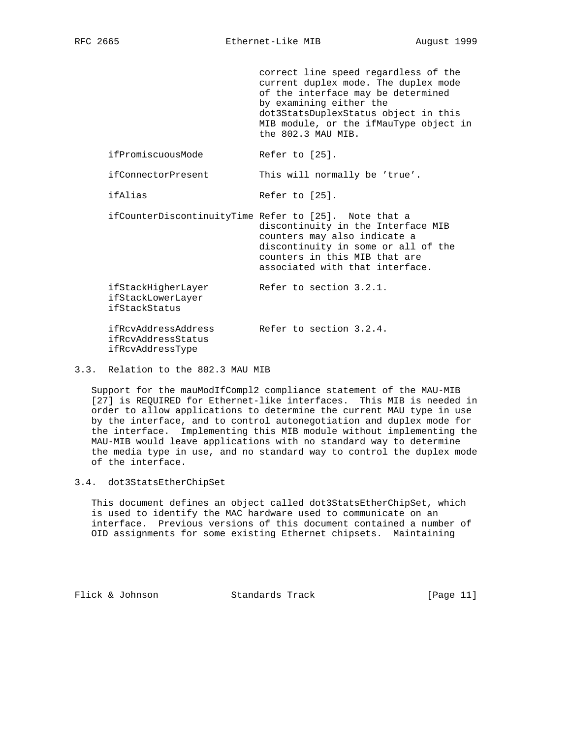correct line speed regardless of the current duplex mode. The duplex mode of the interface may be determined by examining either the dot3StatsDuplexStatus object in this MIB module, or the ifMauType object in the 802.3 MAU MIB. ifPromiscuousMode Refer to [25]. ifConnectorPresent This will normally be 'true'. ifAlias Refer to [25]. ifCounterDiscontinuityTime Refer to [25]. Note that a discontinuity in the Interface MIB counters may also indicate a discontinuity in some or all of the counters in this MIB that are associated with that interface. ifStackHigherLayer Refer to section 3.2.1. ifStackLowerLayer ifStackStatus ifRcvAddressAddress Refer to section 3.2.4. ifRcvAddressStatus ifRcvAddressType

### 3.3. Relation to the 802.3 MAU MIB

 Support for the mauModIfCompl2 compliance statement of the MAU-MIB [27] is REQUIRED for Ethernet-like interfaces. This MIB is needed in order to allow applications to determine the current MAU type in use by the interface, and to control autonegotiation and duplex mode for the interface. Implementing this MIB module without implementing the MAU-MIB would leave applications with no standard way to determine the media type in use, and no standard way to control the duplex mode of the interface.

#### 3.4. dot3StatsEtherChipSet

 This document defines an object called dot3StatsEtherChipSet, which is used to identify the MAC hardware used to communicate on an interface. Previous versions of this document contained a number of OID assignments for some existing Ethernet chipsets. Maintaining

Flick & Johnson Standards Track [Page 11]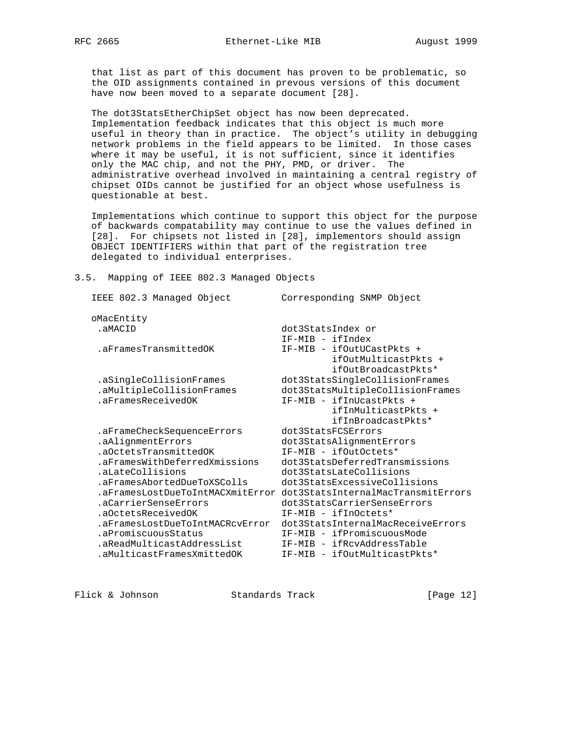that list as part of this document has proven to be problematic, so the OID assignments contained in prevous versions of this document have now been moved to a separate document [28].

 The dot3StatsEtherChipSet object has now been deprecated. Implementation feedback indicates that this object is much more useful in theory than in practice. The object's utility in debugging network problems in the field appears to be limited. In those cases where it may be useful, it is not sufficient, since it identifies only the MAC chip, and not the PHY, PMD, or driver. The administrative overhead involved in maintaining a central registry of chipset OIDs cannot be justified for an object whose usefulness is questionable at best.

 Implementations which continue to support this object for the purpose of backwards compatability may continue to use the values defined in [28]. For chipsets not listed in [28], implementors should assign OBJECT IDENTIFIERS within that part of the registration tree delegated to individual enterprises.

#### 3.5. Mapping of IEEE 802.3 Managed Objects

| IEEE 802.3 Managed Object        | Corresponding SNMP Object          |
|----------------------------------|------------------------------------|
| oMacEntity                       |                                    |
| .aMACID                          | dot3StatsIndex or                  |
|                                  | IF-MIB - ifIndex                   |
| .aFramesTransmittedOK            | IF-MIB - ifOutUCastPkts +          |
|                                  | ifOutMulticastPkts +               |
|                                  | ifOutBroadcastPkts*                |
| .aSingleCollisionFrames          | dot3StatsSingleCollisionFrames     |
| .aMultipleCollisionFrames        | dot3StatsMultipleCollisionFrames   |
| .aFramesReceivedOK               | IF-MIB - ifInUcastPkts +           |
|                                  | ifInMulticastPkts +                |
|                                  | ifInBroadcastPkts*                 |
| .aFrameCheckSequenceErrors       | dot3StatsFCSErrors                 |
| .aAlignmentErrors                | dot3StatsAlignmentErrors           |
| .aOctetsTransmittedOK            | IF-MIB - ifOutOctets*              |
| .aFramesWithDeferredXmissions    | dot3StatsDeferredTransmissions     |
| .aLateCollisions                 | dot3StatsLateCollisions            |
| .aFramesAbortedDueToXSColls      | dot3StatsExcessiveCollisions       |
| .aFramesLostDueToIntMACXmitError | dot3StatsInternalMacTransmitErrors |
| .aCarrierSenseErrors             | dot3StatsCarrierSenseErrors        |
| .aOctetsReceivedOK               | IF-MIB - ifInOctets*               |
| .aFramesLostDueToIntMACRcvError  | dot3StatsInternalMacReceiveErrors  |
| .aPromiscuousStatus              | IF-MIB - ifPromiscuousMode         |
| .aReadMulticastAddressList       | IF-MIB - ifRcvAddressTable         |
| .aMulticastFramesXmittedOK       | IF-MIB - ifOutMulticastPkts*       |
|                                  |                                    |

Flick & Johnson Standards Track [Page 12]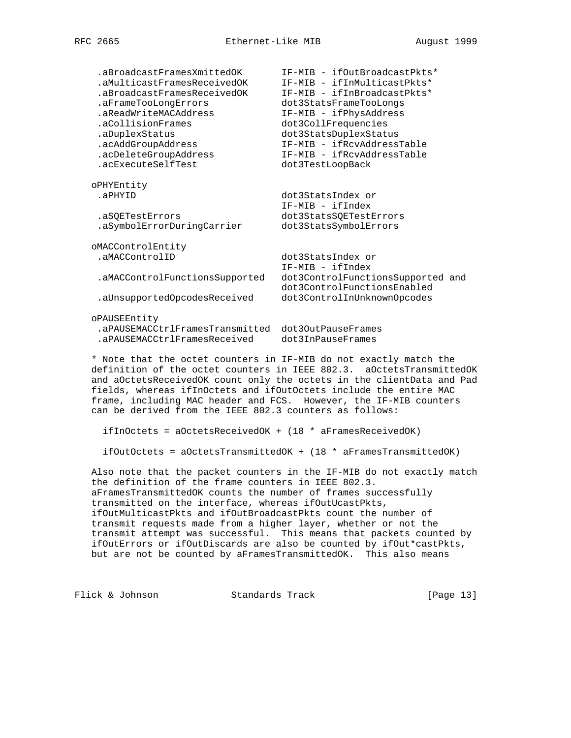| .aBroadcastFramesXmittedOK<br>.aMulticastFramesReceivedOK<br>.aBroadcastFramesReceivedOK<br>.aFrameTooLongErrors<br>.aReadWriteMACAddress<br>.aCollisionFrames<br>.aDuplexStatus<br>.acAddGroupAddress<br>.acDeleteGroupAddress<br>.acExecuteSelfTest | IF-MIB - ifOutBroadcastPkts*<br>IF-MIB - ifInMulticastPkts*<br>IF-MIB - ifInBroadcastPkts*<br>dot3StatsFrameTooLongs<br>IF-MIB - ifPhysAddress<br>dot3CollFrequencies<br>dot3StatsDuplexStatus<br>IF-MIB - ifRcvAddressTable<br>IF-MIB - ifRcvAddressTable<br>dot3TestLoopBack |
|-------------------------------------------------------------------------------------------------------------------------------------------------------------------------------------------------------------------------------------------------------|--------------------------------------------------------------------------------------------------------------------------------------------------------------------------------------------------------------------------------------------------------------------------------|
| oPHYEntity<br>.aPHYID                                                                                                                                                                                                                                 | dot3StatsIndex or<br>IF-MIB - ifIndex                                                                                                                                                                                                                                          |
| .aSOETestErrors<br>.aSymbolErrorDuringCarrier                                                                                                                                                                                                         | dot3StatsSQETestErrors<br>dot3StatsSymbolErrors                                                                                                                                                                                                                                |
| oMACControlEntity<br>.aMACControlID                                                                                                                                                                                                                   | dot3StatsIndex or                                                                                                                                                                                                                                                              |
| .aMACControlFunctionsSupported                                                                                                                                                                                                                        | IF-MIB - ifIndex<br>dot3ControlFunctionsSupported and<br>dot3ControlFunctionsEnabled                                                                                                                                                                                           |
| .aUnsupportedOpcodesReceived                                                                                                                                                                                                                          | dot3ControlInUnknownOpcodes                                                                                                                                                                                                                                                    |
| oPAUSEEntity<br>.aPAUSEMACCtrlFramesTransmitted<br>.aPAUSEMACCtrlFramesReceived                                                                                                                                                                       | dot30utPauseFrames<br>dot3InPauseFrames                                                                                                                                                                                                                                        |

 \* Note that the octet counters in IF-MIB do not exactly match the definition of the octet counters in IEEE 802.3. aOctetsTransmittedOK and aOctetsReceivedOK count only the octets in the clientData and Pad fields, whereas ifInOctets and ifOutOctets include the entire MAC frame, including MAC header and FCS. However, the IF-MIB counters can be derived from the IEEE 802.3 counters as follows:

ifInOctets = aOctetsReceivedOK + (18 \* aFramesReceivedOK)

ifOutOctets =  $a$ OctetsTransmittedOK +  $(18 * a$ FramesTransmittedOK)

 Also note that the packet counters in the IF-MIB do not exactly match the definition of the frame counters in IEEE 802.3. aFramesTransmittedOK counts the number of frames successfully transmitted on the interface, whereas ifOutUcastPkts, ifOutMulticastPkts and ifOutBroadcastPkts count the number of transmit requests made from a higher layer, whether or not the transmit attempt was successful. This means that packets counted by ifOutErrors or ifOutDiscards are also be counted by ifOut\*castPkts, but are not be counted by aFramesTransmittedOK. This also means

Flick & Johnson Standards Track [Page 13]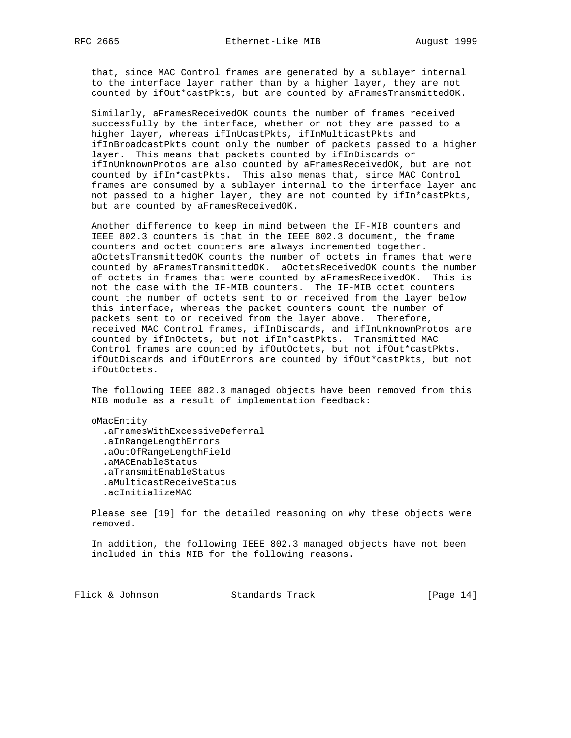that, since MAC Control frames are generated by a sublayer internal to the interface layer rather than by a higher layer, they are not counted by ifOut\*castPkts, but are counted by aFramesTransmittedOK.

 Similarly, aFramesReceivedOK counts the number of frames received successfully by the interface, whether or not they are passed to a higher layer, whereas ifInUcastPkts, ifInMulticastPkts and ifInBroadcastPkts count only the number of packets passed to a higher layer. This means that packets counted by ifInDiscards or ifInUnknownProtos are also counted by aFramesReceivedOK, but are not counted by ifIn\*castPkts. This also menas that, since MAC Control frames are consumed by a sublayer internal to the interface layer and not passed to a higher layer, they are not counted by ifIn\*castPkts, but are counted by aFramesReceivedOK.

 Another difference to keep in mind between the IF-MIB counters and IEEE 802.3 counters is that in the IEEE 802.3 document, the frame counters and octet counters are always incremented together. aOctetsTransmittedOK counts the number of octets in frames that were counted by aFramesTransmittedOK. aOctetsReceivedOK counts the number of octets in frames that were counted by aFramesReceivedOK. This is not the case with the IF-MIB counters. The IF-MIB octet counters count the number of octets sent to or received from the layer below this interface, whereas the packet counters count the number of packets sent to or received from the layer above. Therefore, received MAC Control frames, ifInDiscards, and ifInUnknownProtos are counted by ifInOctets, but not ifIn\*castPkts. Transmitted MAC Control frames are counted by ifOutOctets, but not ifOut\*castPkts. ifOutDiscards and ifOutErrors are counted by ifOut\*castPkts, but not ifOutOctets.

 The following IEEE 802.3 managed objects have been removed from this MIB module as a result of implementation feedback:

 oMacEntity .aFramesWithExcessiveDeferral .aInRangeLengthErrors .aOutOfRangeLengthField .aMACEnableStatus .aTransmitEnableStatus .aMulticastReceiveStatus .acInitializeMAC

 Please see [19] for the detailed reasoning on why these objects were removed.

 In addition, the following IEEE 802.3 managed objects have not been included in this MIB for the following reasons.

Flick & Johnson Standards Track [Page 14]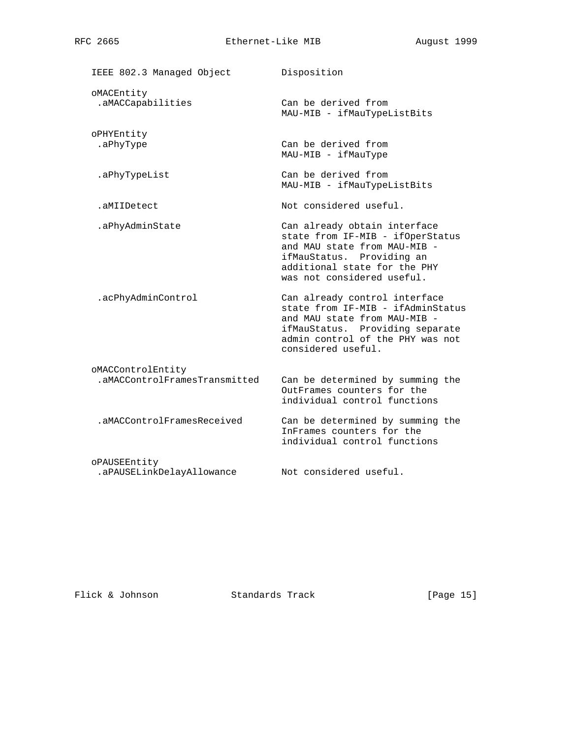IEEE 802.3 Managed Object Disposition oMACEntity .aMACCapabilities Can be derived from MAU-MIB - ifMauTypeListBits oPHYEntity .aPhyType Can be derived from MAU-MIB - ifMauType .aPhyTypeList Can be derived from MAU-MIB - ifMauTypeListBits .aMIIDetect Not considered useful. .aPhyAdminState Can already obtain interface state from IF-MIB - ifOperStatus and MAU state from MAU-MIB ifMauStatus. Providing an additional state for the PHY was not considered useful. .acPhyAdminControl Can already control interface state from IF-MIB - ifAdminStatus and MAU state from MAU-MIB ifMauStatus. Providing separate admin control of the PHY was not considered useful. oMACControlEntity .aMACControlFramesTransmitted Can be determined by summing the OutFrames counters for the individual control functions .aMACControlFramesReceived Can be determined by summing the InFrames counters for the individual control functions oPAUSEEntity .aPAUSELinkDelayAllowance Not considered useful.

Flick & Johnson Standards Track [Page 15]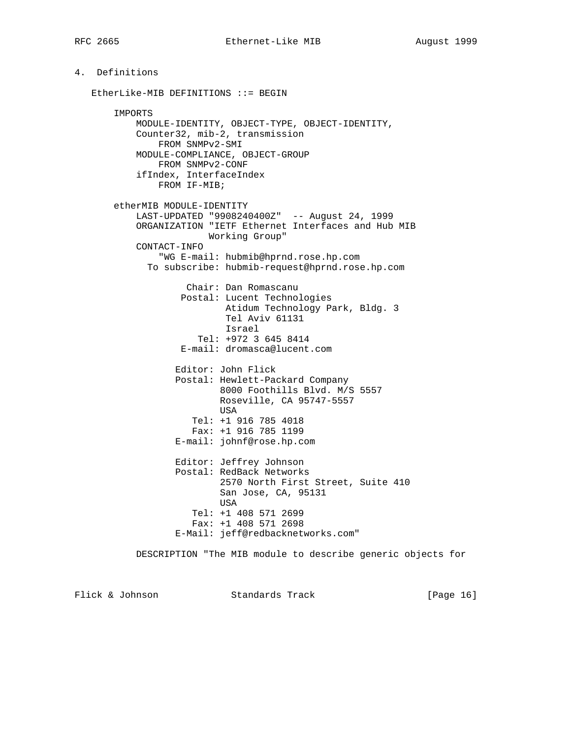4. Definitions

# EtherLike-MIB DEFINITIONS ::= BEGIN IMPORTS MODULE-IDENTITY, OBJECT-TYPE, OBJECT-IDENTITY, Counter32, mib-2, transmission FROM SNMPv2-SMI MODULE-COMPLIANCE, OBJECT-GROUP FROM SNMPv2-CONF ifIndex, InterfaceIndex FROM IF-MIB; etherMIB MODULE-IDENTITY LAST-UPDATED "9908240400Z" -- August 24, 1999 ORGANIZATION "IETF Ethernet Interfaces and Hub MIB Working Group" CONTACT-INFO "WG E-mail: hubmib@hprnd.rose.hp.com To subscribe: hubmib-request@hprnd.rose.hp.com Chair: Dan Romascanu Postal: Lucent Technologies Atidum Technology Park, Bldg. 3 Tel Aviv 61131 Israel Tel: +972 3 645 8414 E-mail: dromasca@lucent.com Editor: John Flick Postal: Hewlett-Packard Company 8000 Foothills Blvd. M/S 5557 Roseville, CA 95747-5557 USA Tel: +1 916 785 4018 Fax: +1 916 785 1199 E-mail: johnf@rose.hp.com Editor: Jeffrey Johnson Postal: RedBack Networks 2570 North First Street, Suite 410 San Jose, CA, 95131 USA Tel: +1 408 571 2699 Fax: +1 408 571 2698 E-Mail: jeff@redbacknetworks.com" DESCRIPTION "The MIB module to describe generic objects for

Flick & Johnson Standards Track [Page 16]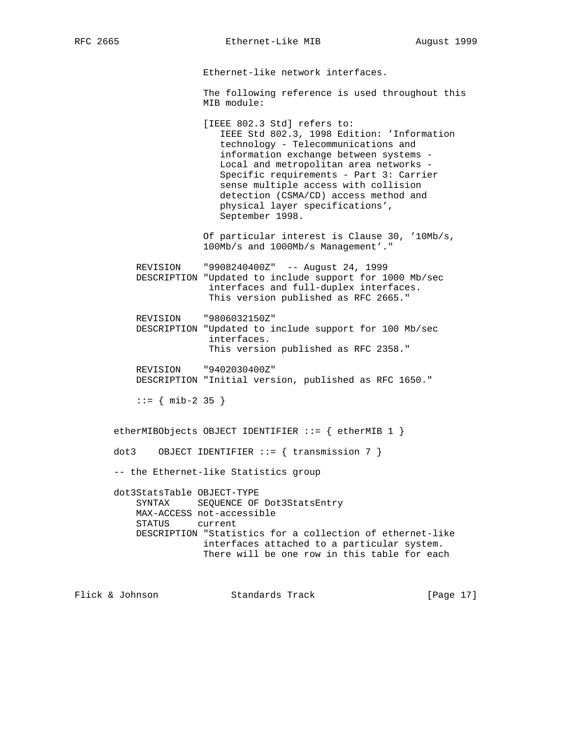RFC 2665 **Ethernet-Like MIB** August 1999

Ethernet-like network interfaces.

 The following reference is used throughout this MIB module:

 [IEEE 802.3 Std] refers to: IEEE Std 802.3, 1998 Edition: 'Information technology - Telecommunications and information exchange between systems - Local and metropolitan area networks - Specific requirements - Part 3: Carrier sense multiple access with collision detection (CSMA/CD) access method and physical layer specifications', September 1998.

 Of particular interest is Clause 30, '10Mb/s, 100Mb/s and 1000Mb/s Management'."

 REVISION "9908240400Z" -- August 24, 1999 DESCRIPTION "Updated to include support for 1000 Mb/sec interfaces and full-duplex interfaces. This version published as RFC 2665."

- REVISION "9806032150Z" DESCRIPTION "Updated to include support for 100 Mb/sec interfaces. This version published as RFC 2358."
- REVISION "9402030400Z" DESCRIPTION "Initial version, published as RFC 1650."

 $::=$  { mib-2 35 }

etherMIBObjects OBJECT IDENTIFIER ::= { etherMIB 1 }

dot3 OBJECT IDENTIFIER  $::=$  { transmission 7 }

-- the Ethernet-like Statistics group

 dot3StatsTable OBJECT-TYPE SYNTAX SEQUENCE OF Dot3StatsEntry MAX-ACCESS not-accessible STATUS current DESCRIPTION "Statistics for a collection of ethernet-like interfaces attached to a particular system. There will be one row in this table for each

Flick & Johnson Standards Track [Page 17]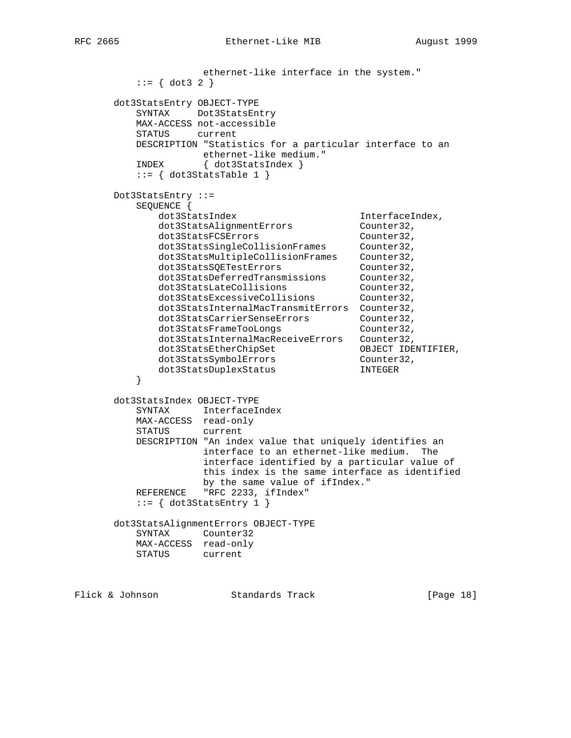```
 ethernet-like interface in the system."
        ::= \{ dot3 2 \} dot3StatsEntry OBJECT-TYPE
         SYNTAX Dot3StatsEntry
         MAX-ACCESS not-accessible
         STATUS current
         DESCRIPTION "Statistics for a particular interface to an
 ethernet-like medium."
 INDEX { dot3StatsIndex }
        ::= { dot3StatsTable 1 }
      Dot3StatsEntry ::=
         SEQUENCE {
dot3StatsIndex interfaceIndex,
 dot3StatsAlignmentErrors Counter32,
dot3StatsFCSErrors counter32,
 dot3StatsSingleCollisionFrames Counter32,
 dot3StatsMultipleCollisionFrames Counter32,
dot3StatsSQETestErrors counter32,
 dot3StatsDeferredTransmissions Counter32,
 dot3StatsLateCollisions Counter32,
 dot3StatsExcessiveCollisions Counter32,
 dot3StatsInternalMacTransmitErrors Counter32,
 dot3StatsCarrierSenseErrors Counter32,
 dot3StatsFrameTooLongs Counter32,
 dot3StatsInternalMacReceiveErrors Counter32,
 dot3StatsEtherChipSet OBJECT IDENTIFIER,
dot3StatsSymbolErrors counter32,
 dot3StatsDuplexStatus INTEGER
 }
      dot3StatsIndex OBJECT-TYPE
         SYNTAX InterfaceIndex
         MAX-ACCESS read-only
         STATUS current
         DESCRIPTION "An index value that uniquely identifies an
                 interface to an ethernet-like medium. The
                  interface identified by a particular value of
                  this index is the same interface as identified
                  by the same value of ifIndex."
        REFERENCE "RFC 2233, ifIndex"
        ::= \{ dot3StatsEntry 1 \} dot3StatsAlignmentErrors OBJECT-TYPE
         SYNTAX Counter32
         MAX-ACCESS read-only
         STATUS current
```
Flick & Johnson Standards Track [Page 18]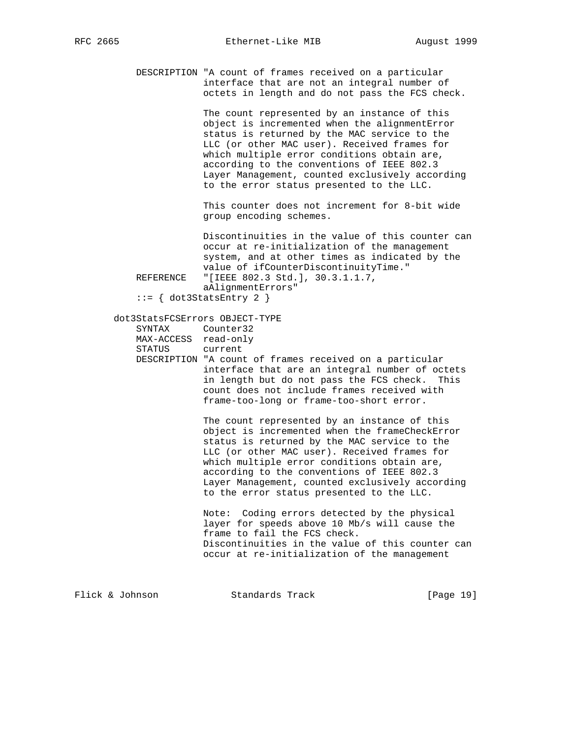DESCRIPTION "A count of frames received on a particular interface that are not an integral number of octets in length and do not pass the FCS check.

> The count represented by an instance of this object is incremented when the alignmentError status is returned by the MAC service to the LLC (or other MAC user). Received frames for which multiple error conditions obtain are, according to the conventions of IEEE 802.3 Layer Management, counted exclusively according to the error status presented to the LLC.

 This counter does not increment for 8-bit wide group encoding schemes.

 Discontinuities in the value of this counter can occur at re-initialization of the management system, and at other times as indicated by the value of ifCounterDiscontinuityTime." REFERENCE "[IEEE 802.3 Std.], 30.3.1.1.7, aAlignmentErrors"

::= { dot3StatsEntry 2 }

#### dot3StatsFCSErrors OBJECT-TYPE

| SYNTAX | Counter32            |
|--------|----------------------|
|        | MAX-ACCESS read-only |
| STATUS | current              |

 DESCRIPTION "A count of frames received on a particular interface that are an integral number of octets in length but do not pass the FCS check. This count does not include frames received with frame-too-long or frame-too-short error.

> The count represented by an instance of this object is incremented when the frameCheckError status is returned by the MAC service to the LLC (or other MAC user). Received frames for which multiple error conditions obtain are, according to the conventions of IEEE 802.3 Layer Management, counted exclusively according to the error status presented to the LLC.

 Note: Coding errors detected by the physical layer for speeds above 10 Mb/s will cause the frame to fail the FCS check. Discontinuities in the value of this counter can occur at re-initialization of the management

Flick & Johnson Standards Track [Page 19]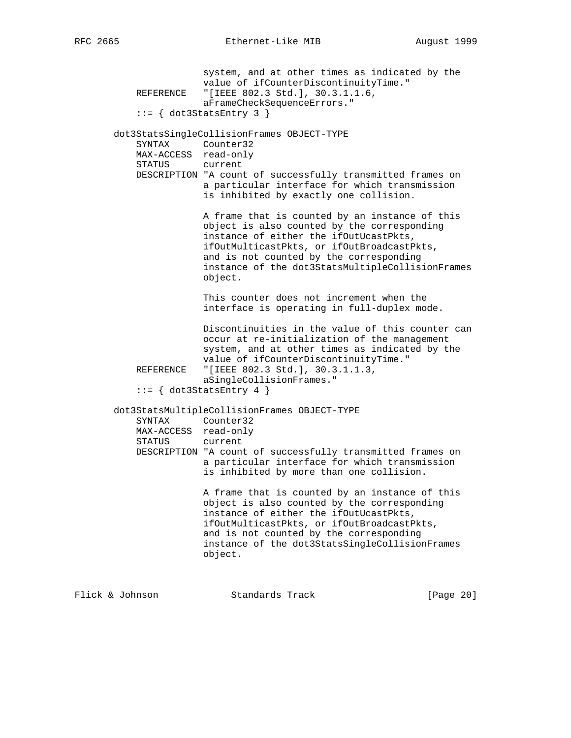system, and at other times as indicated by the value of ifCounterDiscontinuityTime." REFERENCE "[IEEE 802.3 Std.], 30.3.1.1.6, aFrameCheckSequenceErrors."  $::=$  { dot3StatsEntry 3 } dot3StatsSingleCollisionFrames OBJECT-TYPE SYNTAX Counter32 MAX-ACCESS read-only STATUS current DESCRIPTION "A count of successfully transmitted frames on a particular interface for which transmission is inhibited by exactly one collision. A frame that is counted by an instance of this object is also counted by the corresponding instance of either the ifOutUcastPkts, ifOutMulticastPkts, or ifOutBroadcastPkts, and is not counted by the corresponding instance of the dot3StatsMultipleCollisionFrames object. This counter does not increment when the interface is operating in full-duplex mode. Discontinuities in the value of this counter can occur at re-initialization of the management system, and at other times as indicated by the value of ifCounterDiscontinuityTime."<br>REFERENCE "[IEEE 802.3 Std.], 30.3.1.1.3, "[IEEE 802.3 Std.], 30.3.1.1.3, aSingleCollisionFrames."  $::=$  { dot3StatsEntry 4 } dot3StatsMultipleCollisionFrames OBJECT-TYPE SYNTAX Counter32 MAX-ACCESS read-only STATUS current DESCRIPTION "A count of successfully transmitted frames on a particular interface for which transmission is inhibited by more than one collision. A frame that is counted by an instance of this object is also counted by the corresponding instance of either the ifOutUcastPkts, ifOutMulticastPkts, or ifOutBroadcastPkts, and is not counted by the corresponding instance of the dot3StatsSingleCollisionFrames object.

Flick & Johnson Standards Track [Page 20]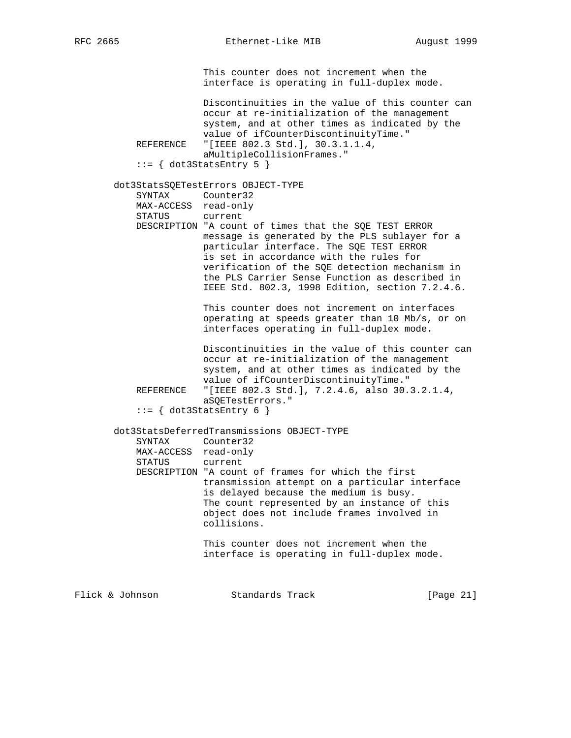This counter does not increment when the interface is operating in full-duplex mode.

 Discontinuities in the value of this counter can occur at re-initialization of the management system, and at other times as indicated by the value of ifCounterDiscontinuityTime." REFERENCE "[IEEE 802.3 Std.], 30.3.1.1.4, aMultipleCollisionFrames."

 $::= \{ dot3StatsEntry 5 \}$ 

dot3StatsSQETestErrors OBJECT-TYPE

| SYNTAX | Counter32            |                                                       |  |
|--------|----------------------|-------------------------------------------------------|--|
|        | MAX-ACCESS read-only |                                                       |  |
| STATUS | current              |                                                       |  |
|        |                      | DESCRIPTION "A count of times that the SOE TEST ERROR |  |
|        |                      | message is generated by the PLS sublayer for a        |  |
|        |                      | particular interface. The SOE TEST ERROR              |  |
|        |                      | is set in accordance with the rules for               |  |
|        |                      | verification of the SOE detection mechanism in        |  |
|        |                      | the PLS Carrier Sense Function as described in        |  |
|        |                      | IEEE Std. 802.3, 1998 Edition, section 7.2.4.6.       |  |
|        |                      |                                                       |  |

 This counter does not increment on interfaces operating at speeds greater than 10 Mb/s, or on interfaces operating in full-duplex mode.

 Discontinuities in the value of this counter can occur at re-initialization of the management system, and at other times as indicated by the value of ifCounterDiscontinuityTime." REFERENCE "[IEEE 802.3 Std.], 7.2.4.6, also 30.3.2.1.4, aSQETestErrors."

```
::= { dot3StatsEntry 6 }
```
 dot3StatsDeferredTransmissions OBJECT-TYPE SYNTAX Counter32 MAX-ACCESS read-only STATUS current DESCRIPTION "A count of frames for which the first transmission attempt on a particular interface is delayed because the medium is busy. The count represented by an instance of this object does not include frames involved in collisions.

 This counter does not increment when the interface is operating in full-duplex mode.

Flick & Johnson Standards Track [Page 21]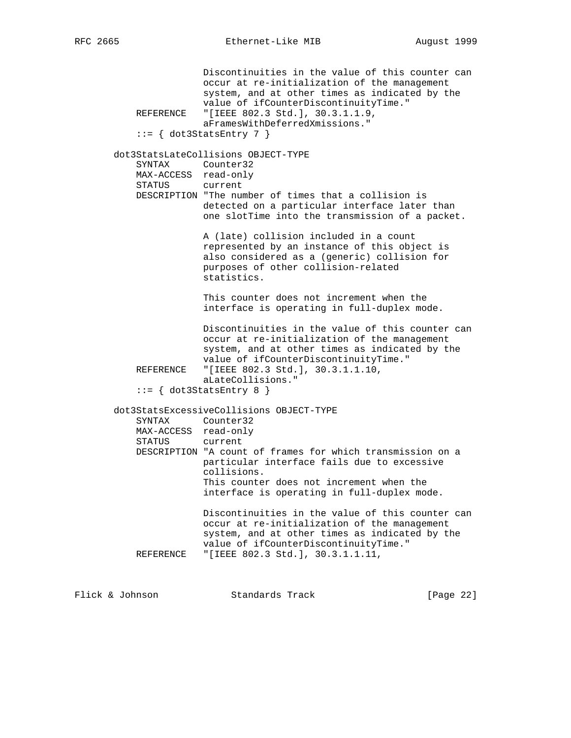Discontinuities in the value of this counter can occur at re-initialization of the management system, and at other times as indicated by the value of ifCounterDiscontinuityTime."<br>REFERENCE "[IEEE 802.3 Std.], 30.3.1.1.9, "[IEEE 802.3 Std.], 30.3.1.1.9, aFramesWithDeferredXmissions."  $::=$  { dot3StatsEntry 7 } dot3StatsLateCollisions OBJECT-TYPE SYNTAX Counter32 MAX-ACCESS read-only STATUS current DESCRIPTION "The number of times that a collision is detected on a particular interface later than one slotTime into the transmission of a packet. A (late) collision included in a count represented by an instance of this object is also considered as a (generic) collision for purposes of other collision-related statistics. This counter does not increment when the interface is operating in full-duplex mode. Discontinuities in the value of this counter can occur at re-initialization of the management system, and at other times as indicated by the value of ifCounterDiscontinuityTime."<br>REFERENCE "[IEEE 802.3 Std.], 30.3.1.1.10, "[IEEE 802.3 Std.], 30.3.1.1.10, aLateCollisions."  $::=$   $\{ dot3StatsEntry 8 \}$  dot3StatsExcessiveCollisions OBJECT-TYPE SYNTAX Counter32 MAX-ACCESS read-only STATUS current DESCRIPTION "A count of frames for which transmission on a particular interface fails due to excessive collisions. This counter does not increment when the interface is operating in full-duplex mode. Discontinuities in the value of this counter can occur at re-initialization of the management system, and at other times as indicated by the value of ifCounterDiscontinuityTime." REFERENCE "[IEEE 802.3 Std.], 30.3.1.1.11,

Flick & Johnson Standards Track [Page 22]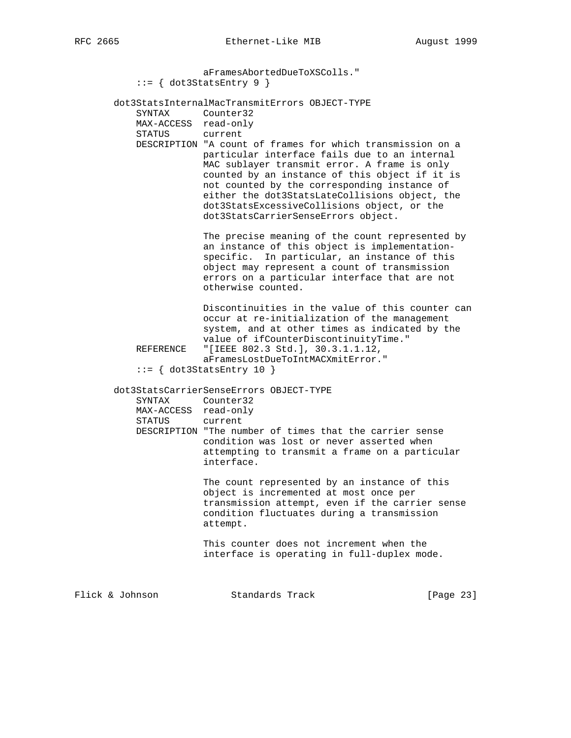aFramesAbortedDueToXSColls."  $::=$  { dot3StatsEntry 9 } dot3StatsInternalMacTransmitErrors OBJECT-TYPE SYNTAX Counter32 MAX-ACCESS read-only STATUS current DESCRIPTION "A count of frames for which transmission on a particular interface fails due to an internal MAC sublayer transmit error. A frame is only counted by an instance of this object if it is not counted by the corresponding instance of either the dot3StatsLateCollisions object, the dot3StatsExcessiveCollisions object, or the dot3StatsCarrierSenseErrors object. The precise meaning of the count represented by an instance of this object is implementation specific. In particular, an instance of this object may represent a count of transmission errors on a particular interface that are not otherwise counted. Discontinuities in the value of this counter can occur at re-initialization of the management system, and at other times as indicated by the value of ifCounterDiscontinuityTime." REFERENCE "[IEEE 802.3 Std.], 30.3.1.1.12, aFramesLostDueToIntMACXmitError."  $::=$  { dot3StatsEntry 10 } dot3StatsCarrierSenseErrors OBJECT-TYPE SYNTAX Counter32 MAX-ACCESS read-only STATUS current DESCRIPTION "The number of times that the carrier sense condition was lost or never asserted when attempting to transmit a frame on a particular interface. The count represented by an instance of this object is incremented at most once per transmission attempt, even if the carrier sense condition fluctuates during a transmission attempt. This counter does not increment when the interface is operating in full-duplex mode. Flick & Johnson Standards Track [Page 23]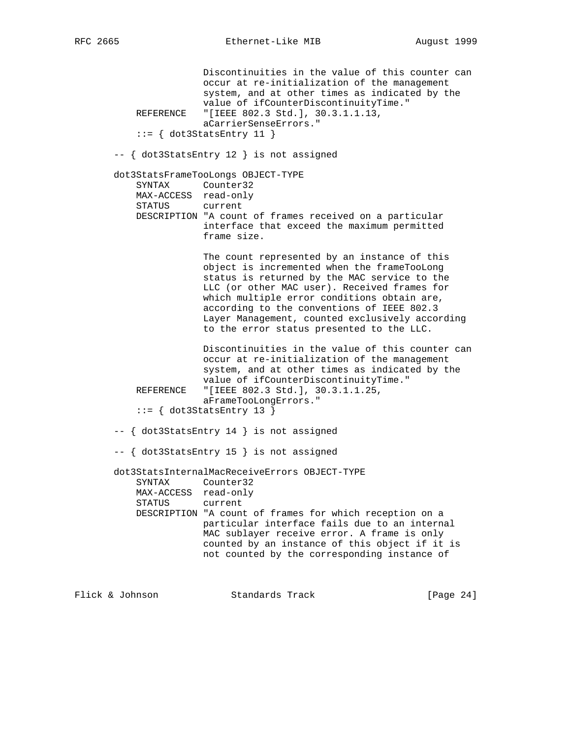Discontinuities in the value of this counter can occur at re-initialization of the management system, and at other times as indicated by the value of ifCounterDiscontinuityTime." REFERENCE "[IEEE 802.3 Std.], 30.3.1.1.13, aCarrierSenseErrors."  $::=$  { dot3StatsEntry 11 } -- { dot3StatsEntry 12 } is not assigned dot3StatsFrameTooLongs OBJECT-TYPE SYNTAX Counter32 MAX-ACCESS read-only STATUS current DESCRIPTION "A count of frames received on a particular interface that exceed the maximum permitted frame size. The count represented by an instance of this object is incremented when the frameTooLong status is returned by the MAC service to the LLC (or other MAC user). Received frames for which multiple error conditions obtain are, according to the conventions of IEEE 802.3 Layer Management, counted exclusively according to the error status presented to the LLC. Discontinuities in the value of this counter can occur at re-initialization of the management system, and at other times as indicated by the value of ifCounterDiscontinuityTime." REFERENCE "[IEEE 802.3 Std.], 30.3.1.1.25, aFrameTooLongErrors."  $::= \{ dot3StatsEntry 13 \}$  -- { dot3StatsEntry 14 } is not assigned -- { dot3StatsEntry 15 } is not assigned dot3StatsInternalMacReceiveErrors OBJECT-TYPE SYNTAX Counter32 MAX-ACCESS read-only STATUS current DESCRIPTION "A count of frames for which reception on a particular interface fails due to an internal MAC sublayer receive error. A frame is only counted by an instance of this object if it is not counted by the corresponding instance of

Flick & Johnson Standards Track [Page 24]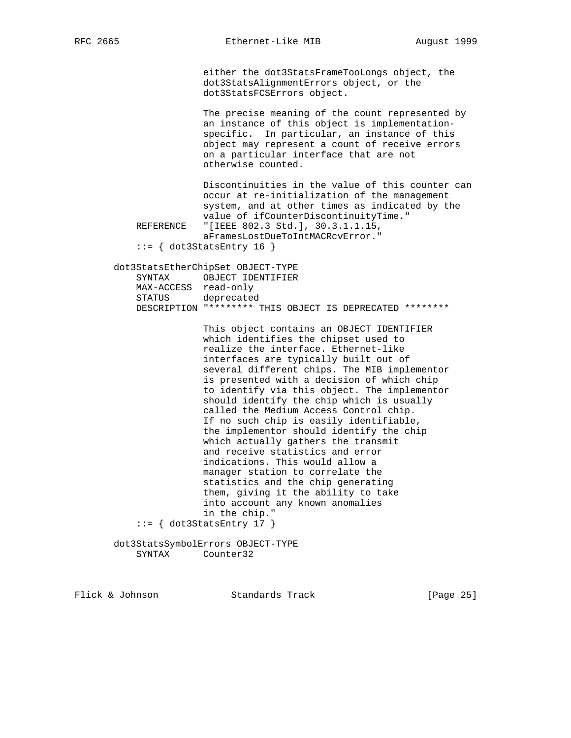either the dot3StatsFrameTooLongs object, the dot3StatsAlignmentErrors object, or the dot3StatsFCSErrors object.

 The precise meaning of the count represented by an instance of this object is implementation specific. In particular, an instance of this object may represent a count of receive errors on a particular interface that are not otherwise counted.

 Discontinuities in the value of this counter can occur at re-initialization of the management system, and at other times as indicated by the value of ifCounterDiscontinuityTime." REFERENCE "[IEEE 802.3 Std.], 30.3.1.1.15,

 aFramesLostDueToIntMACRcvError."  $::=$  { dot3StatsEntry 16 }

 dot3StatsEtherChipSet OBJECT-TYPE SYNTAX OBJECT IDENTIFIER MAX-ACCESS read-only STATUS deprecated DESCRIPTION "\*\*\*\*\*\*\*\* THIS OBJECT IS DEPRECATED \*\*\*\*\*\*\*\*

 This object contains an OBJECT IDENTIFIER which identifies the chipset used to realize the interface. Ethernet-like interfaces are typically built out of several different chips. The MIB implementor is presented with a decision of which chip to identify via this object. The implementor should identify the chip which is usually called the Medium Access Control chip. If no such chip is easily identifiable, the implementor should identify the chip which actually gathers the transmit and receive statistics and error indications. This would allow a manager station to correlate the statistics and the chip generating them, giving it the ability to take into account any known anomalies in the chip."  $::=$   $\{ dot3StatsEntry 17 \}$ 

 dot3StatsSymbolErrors OBJECT-TYPE SYNTAX Counter32

Flick & Johnson Standards Track [Page 25]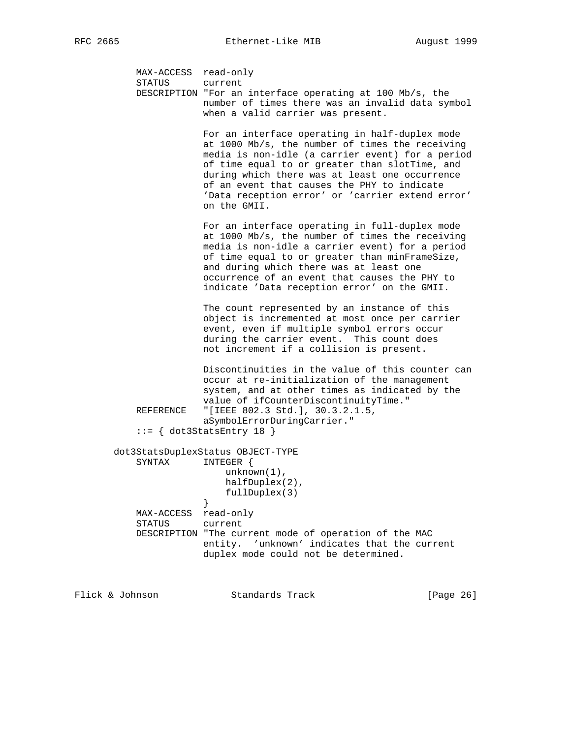MAX-ACCESS read-only STATUS current DESCRIPTION "For an interface operating at 100 Mb/s, the number of times there was an invalid data symbol when a valid carrier was present. For an interface operating in half-duplex mode at 1000 Mb/s, the number of times the receiving media is non-idle (a carrier event) for a period of time equal to or greater than slotTime, and during which there was at least one occurrence of an event that causes the PHY to indicate 'Data reception error' or 'carrier extend error' on the GMII. For an interface operating in full-duplex mode at 1000 Mb/s, the number of times the receiving media is non-idle a carrier event) for a period of time equal to or greater than minFrameSize, and during which there was at least one occurrence of an event that causes the PHY to indicate 'Data reception error' on the GMII. The count represented by an instance of this object is incremented at most once per carrier event, even if multiple symbol errors occur during the carrier event. This count does not increment if a collision is present. Discontinuities in the value of this counter can occur at re-initialization of the management system, and at other times as indicated by the value of ifCounterDiscontinuityTime."<br>REFERENCE "[IEEE 802.3 Std.], 30.3.2.1.5, "[IEEE 802.3 Std.], 30.3.2.1.5, aSymbolErrorDuringCarrier."  $::=$  { dot3StatsEntry 18 } dot3StatsDuplexStatus OBJECT-TYPE SYNTAX INTEGER { unknown(1), halfDuplex(2), fullDuplex(3)<br>} } MAX-ACCESS read-only STATUS current DESCRIPTION "The current mode of operation of the MAC entity. 'unknown' indicates that the current duplex mode could not be determined.

Flick & Johnson Standards Track [Page 26]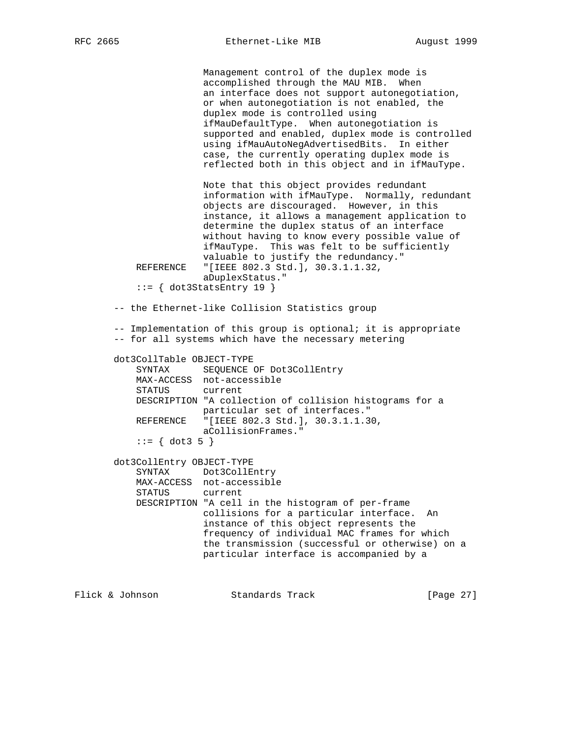Management control of the duplex mode is accomplished through the MAU MIB. When an interface does not support autonegotiation, or when autonegotiation is not enabled, the duplex mode is controlled using ifMauDefaultType. When autonegotiation is supported and enabled, duplex mode is controlled using ifMauAutoNegAdvertisedBits. In either case, the currently operating duplex mode is reflected both in this object and in ifMauType. Note that this object provides redundant information with ifMauType. Normally, redundant objects are discouraged. However, in this instance, it allows a management application to determine the duplex status of an interface without having to know every possible value of ifMauType. This was felt to be sufficiently valuable to justify the redundancy." REFERENCE "[IEEE 802.3 Std.], 30.3.1.1.32, aDuplexStatus."  $::=$   $\{ dot3StatsEntry 19 \}$  -- the Ethernet-like Collision Statistics group -- Implementation of this group is optional; it is appropriate -- for all systems which have the necessary metering dot3CollTable OBJECT-TYPE SYNTAX SEQUENCE OF Dot3CollEntry MAX-ACCESS not-accessible STATUS current DESCRIPTION "A collection of collision histograms for a particular set of interfaces." REFERENCE "[IEEE 802.3 Std.], 30.3.1.1.30, aCollisionFrames."  $::= \{ dot3 5 \}$  dot3CollEntry OBJECT-TYPE SYNTAX Dot3CollEntry MAX-ACCESS not-accessible STATUS current DESCRIPTION "A cell in the histogram of per-frame collisions for a particular interface. An instance of this object represents the frequency of individual MAC frames for which the transmission (successful or otherwise) on a particular interface is accompanied by a

Flick & Johnson Standards Track [Page 27]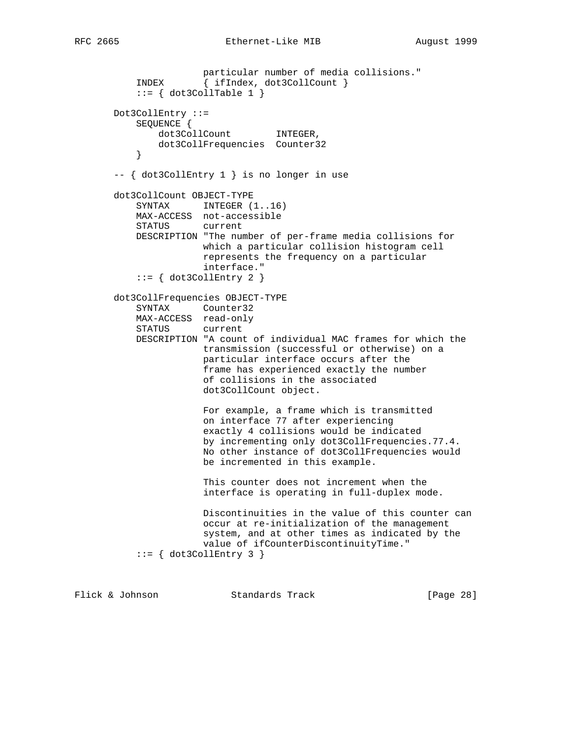```
 particular number of media collisions."
 INDEX { ifIndex, dot3CollCount }
 ::= { dot3CollTable 1 }
       Dot3CollEntry ::=
           SEQUENCE {
              dot3CollCount INTEGER,
           dot3CollFrequencies Counter32
 }
       -- { dot3CollEntry 1 } is no longer in use
       dot3CollCount OBJECT-TYPE
          SYNTAX INTEGER (1..16) MAX-ACCESS not-accessible
           STATUS current
           DESCRIPTION "The number of per-frame media collisions for
                      which a particular collision histogram cell
                       represents the frequency on a particular
                       interface."
          ::= { dot3CollEntry 2 }
       dot3CollFrequencies OBJECT-TYPE
           SYNTAX Counter32
           MAX-ACCESS read-only
           STATUS current
           DESCRIPTION "A count of individual MAC frames for which the
                      transmission (successful or otherwise) on a
                       particular interface occurs after the
                       frame has experienced exactly the number
                       of collisions in the associated
                       dot3CollCount object.
                       For example, a frame which is transmitted
                       on interface 77 after experiencing
                       exactly 4 collisions would be indicated
                       by incrementing only dot3CollFrequencies.77.4.
                       No other instance of dot3CollFrequencies would
                       be incremented in this example.
                       This counter does not increment when the
                       interface is operating in full-duplex mode.
                       Discontinuities in the value of this counter can
                       occur at re-initialization of the management
                       system, and at other times as indicated by the
                       value of ifCounterDiscontinuityTime."
          ::= \{ dot3CollEntry 3 \}
```
Flick & Johnson Standards Track [Page 28]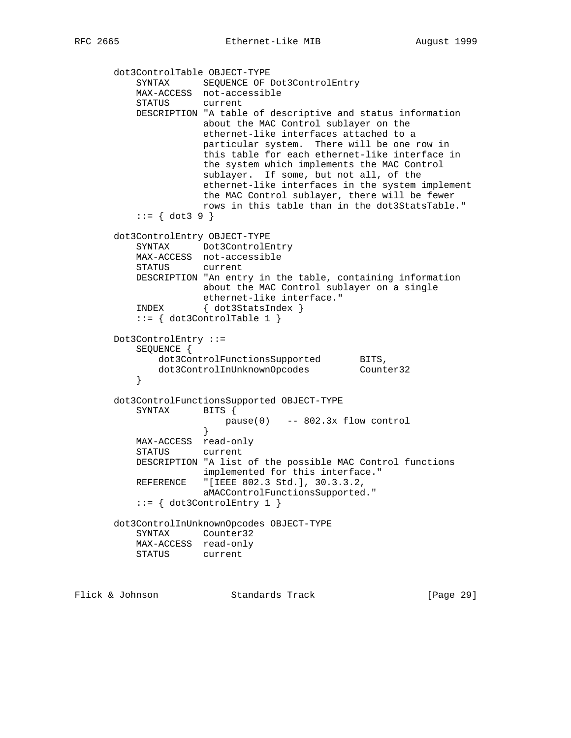dot3ControlTable OBJECT-TYPE SYNTAX SEQUENCE OF Dot3ControlEntry MAX-ACCESS not-accessible STATUS current DESCRIPTION "A table of descriptive and status information about the MAC Control sublayer on the ethernet-like interfaces attached to a particular system. There will be one row in this table for each ethernet-like interface in the system which implements the MAC Control sublayer. If some, but not all, of the ethernet-like interfaces in the system implement the MAC Control sublayer, there will be fewer rows in this table than in the dot3StatsTable."  $::= \{ dot3 9 \}$  dot3ControlEntry OBJECT-TYPE SYNTAX Dot3ControlEntry MAX-ACCESS not-accessible STATUS current DESCRIPTION "An entry in the table, containing information about the MAC Control sublayer on a single ethernet-like interface." INDEX { dot3StatsIndex } ::= { dot3ControlTable 1 } Dot3ControlEntry ::= SEQUENCE { dot3ControlFunctionsSupported BITS, dot3ControlInUnknownOpcodes Counter32 } dot3ControlFunctionsSupported OBJECT-TYPE SYNTAX BITS {  $pause(0)$  -- 802.3x flow control } } MAX-ACCESS read-only STATUS current DESCRIPTION "A list of the possible MAC Control functions implemented for this interface." REFERENCE "[IEEE 802.3 Std.], 30.3.3.2, aMACControlFunctionsSupported." ::= { dot3ControlEntry 1 } dot3ControlInUnknownOpcodes OBJECT-TYPE SYNTAX Counter32 MAX-ACCESS read-only STATUS current

Flick & Johnson Standards Track [Page 29]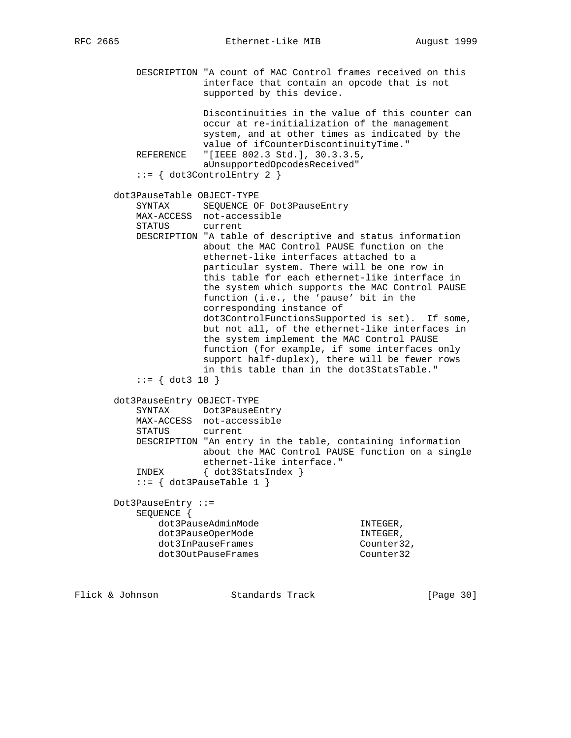DESCRIPTION "A count of MAC Control frames received on this interface that contain an opcode that is not supported by this device.

 Discontinuities in the value of this counter can occur at re-initialization of the management system, and at other times as indicated by the value of ifCounterDiscontinuityTime." REFERENCE "[IEEE 802.3 Std.], 30.3.3.5, aUnsupportedOpcodesReceived"

```
 ::= { dot3ControlEntry 2 }
```
# dot3PauseTable OBJECT-TYPE

| UULJPAUSEIADIE UBUBLI-IIPB |                                                                                                                                                                                                                                                                                                                                                                                                                                                                                                                                                                                                                                                                                      |
|----------------------------|--------------------------------------------------------------------------------------------------------------------------------------------------------------------------------------------------------------------------------------------------------------------------------------------------------------------------------------------------------------------------------------------------------------------------------------------------------------------------------------------------------------------------------------------------------------------------------------------------------------------------------------------------------------------------------------|
| SYNTAX                     | SEQUENCE OF Dot3PauseEntry                                                                                                                                                                                                                                                                                                                                                                                                                                                                                                                                                                                                                                                           |
|                            | MAX-ACCESS not-accessible                                                                                                                                                                                                                                                                                                                                                                                                                                                                                                                                                                                                                                                            |
| STATUS                     | current                                                                                                                                                                                                                                                                                                                                                                                                                                                                                                                                                                                                                                                                              |
| $ ::= \{ dot3 10 \}$       | DESCRIPTION "A table of descriptive and status information<br>about the MAC Control PAUSE function on the<br>ethernet-like interfaces attached to a<br>particular system. There will be one row in<br>this table for each ethernet-like interface in<br>the system which supports the MAC Control PAUSE<br>function (i.e., the 'pause' bit in the<br>corresponding instance of<br>dot3ControlFunctionsSupported is set). If some,<br>but not all, of the ethernet-like interfaces in<br>the system implement the MAC Control PAUSE<br>function (for example, if some interfaces only<br>support half-duplex), there will be fewer rows<br>in this table than in the dot3StatsTable." |
| dot3PauseEntry OBJECT-TYPE |                                                                                                                                                                                                                                                                                                                                                                                                                                                                                                                                                                                                                                                                                      |
|                            | SYNTAX Dot3PauseEntry                                                                                                                                                                                                                                                                                                                                                                                                                                                                                                                                                                                                                                                                |
|                            | MAX-ACCESS not-accessible                                                                                                                                                                                                                                                                                                                                                                                                                                                                                                                                                                                                                                                            |
| STATUS                     | current                                                                                                                                                                                                                                                                                                                                                                                                                                                                                                                                                                                                                                                                              |

 DESCRIPTION "An entry in the table, containing information about the MAC Control PAUSE function on a single ethernet-like interface."

```
 INDEX { dot3StatsIndex }
::= \{ dot3PauseTable 1 \}
```
 Dot3PauseEntry ::= SEQUENCE { dot3PauseAdminMode INTEGER, dot3PauseOperMode in the INTEGER, dot3InPauseFrames counter32, dot30utPauseFrames Counter32

Flick & Johnson Standards Track [Page 30]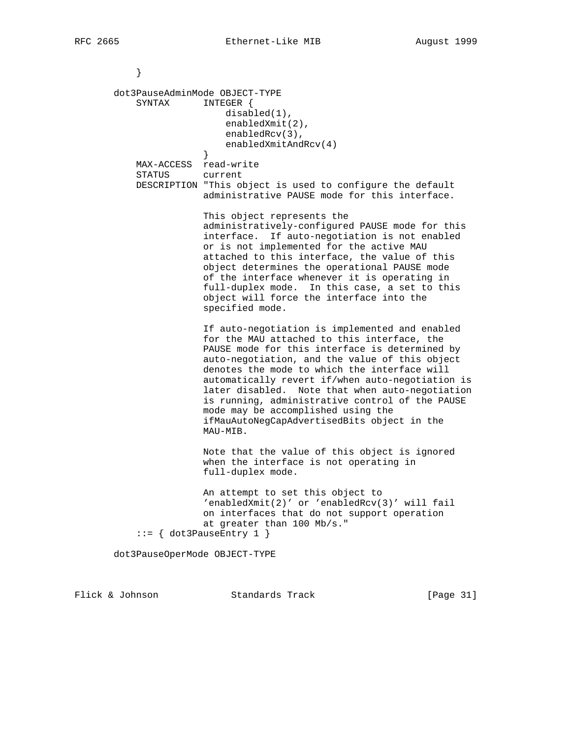```
 }
       dot3PauseAdminMode OBJECT-TYPE
           SYNTAX INTEGER {
                          disabled(1),
                           enabledXmit(2),
                           enabledRcv(3),
                      enabledXmitAndRcv(4)<br>}
 }
           MAX-ACCESS read-write
           STATUS current
           DESCRIPTION "This object is used to configure the default
                       administrative PAUSE mode for this interface.
                       This object represents the
                       administratively-configured PAUSE mode for this
                       interface. If auto-negotiation is not enabled
                       or is not implemented for the active MAU
                       attached to this interface, the value of this
                       object determines the operational PAUSE mode
                       of the interface whenever it is operating in
                       full-duplex mode. In this case, a set to this
                       object will force the interface into the
                       specified mode.
                       If auto-negotiation is implemented and enabled
                       for the MAU attached to this interface, the
                       PAUSE mode for this interface is determined by
                       auto-negotiation, and the value of this object
                       denotes the mode to which the interface will
                       automatically revert if/when auto-negotiation is
                       later disabled. Note that when auto-negotiation
                       is running, administrative control of the PAUSE
                       mode may be accomplished using the
                       ifMauAutoNegCapAdvertisedBits object in the
                       MAU-MIB.
                       Note that the value of this object is ignored
                       when the interface is not operating in
                       full-duplex mode.
                       An attempt to set this object to
                       'enabledXmit(2)' or 'enabledRcv(3)' will fail
                       on interfaces that do not support operation
                       at greater than 100 Mb/s."
            ::= { dot3PauseEntry 1 }
       dot3PauseOperMode OBJECT-TYPE
```
Flick & Johnson Standards Track [Page 31]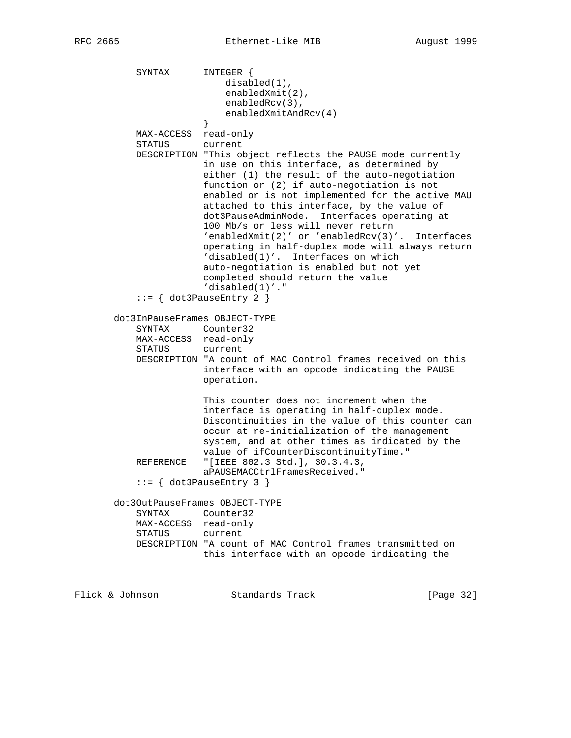SYNTAX INTEGER { disabled(1), enabledXmit(2), enabledRcv(3), enabledXmitAndRcv(4)<br>} } MAX-ACCESS read-only STATUS current DESCRIPTION "This object reflects the PAUSE mode currently in use on this interface, as determined by either (1) the result of the auto-negotiation function or (2) if auto-negotiation is not enabled or is not implemented for the active MAU attached to this interface, by the value of dot3PauseAdminMode. Interfaces operating at 100 Mb/s or less will never return 'enabledXmit(2)' or 'enabledRcv(3)'. Interfaces operating in half-duplex mode will always return 'disabled(1)'. Interfaces on which auto-negotiation is enabled but not yet completed should return the value 'disabled(1)'." ::= { dot3PauseEntry 2 } dot3InPauseFrames OBJECT-TYPE SYNTAX Counter32 MAX-ACCESS read-only STATUS current DESCRIPTION "A count of MAC Control frames received on this interface with an opcode indicating the PAUSE operation. This counter does not increment when the interface is operating in half-duplex mode. Discontinuities in the value of this counter can occur at re-initialization of the management system, and at other times as indicated by the value of ifCounterDiscontinuityTime." REFERENCE "[IEEE 802.3 Std.], 30.3.4.3, aPAUSEMACCtrlFramesReceived."  $::= \{ dot3PauseEntry 3 \}$  dot3OutPauseFrames OBJECT-TYPE SYNTAX Counter32 MAX-ACCESS read-only STATUS current DESCRIPTION "A count of MAC Control frames transmitted on this interface with an opcode indicating the

Flick & Johnson Standards Track [Page 32]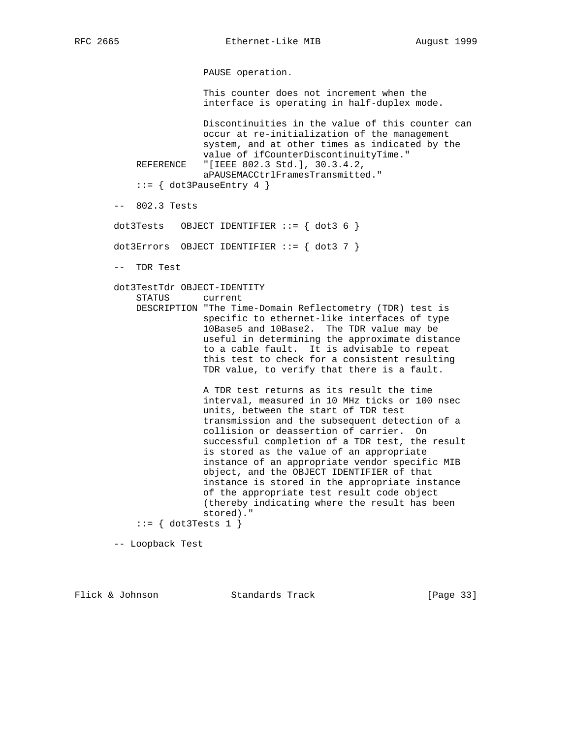PAUSE operation.

 This counter does not increment when the interface is operating in half-duplex mode.

 Discontinuities in the value of this counter can occur at re-initialization of the management system, and at other times as indicated by the value of ifCounterDiscontinuityTime."<br>REFERENCE "[IEEE 802.3 Std.], 30.3.4.2, "[IEEE 802.3 Std.], 30.3.4.2, aPAUSEMACCtrlFramesTransmitted."

::= { dot3PauseEntry 4 }

-- 802.3 Tests

dot3Tests OBJECT IDENTIFIER  $::=$  { dot3 6 }

dot3Errors OBJECT IDENTIFIER ::= { dot3 7 }

-- TDR Test

dot3TestTdr OBJECT-IDENTITY

STATUS current

 DESCRIPTION "The Time-Domain Reflectometry (TDR) test is specific to ethernet-like interfaces of type 10Base5 and 10Base2. The TDR value may be useful in determining the approximate distance to a cable fault. It is advisable to repeat this test to check for a consistent resulting TDR value, to verify that there is a fault.

> A TDR test returns as its result the time interval, measured in 10 MHz ticks or 100 nsec units, between the start of TDR test transmission and the subsequent detection of a collision or deassertion of carrier. On successful completion of a TDR test, the result is stored as the value of an appropriate instance of an appropriate vendor specific MIB object, and the OBJECT IDENTIFIER of that instance is stored in the appropriate instance of the appropriate test result code object (thereby indicating where the result has been stored)."

 $::= \{ dot3Tests 1 \}$ 

-- Loopback Test

Flick & Johnson Standards Track [Page 33]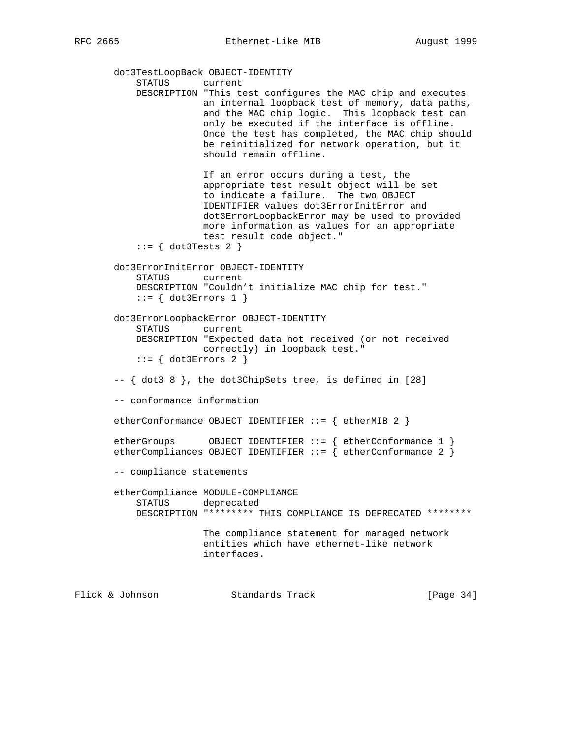dot3TestLoopBack OBJECT-IDENTITY STATUS current DESCRIPTION "This test configures the MAC chip and executes an internal loopback test of memory, data paths, and the MAC chip logic. This loopback test can only be executed if the interface is offline. Once the test has completed, the MAC chip should be reinitialized for network operation, but it should remain offline. If an error occurs during a test, the appropriate test result object will be set to indicate a failure. The two OBJECT IDENTIFIER values dot3ErrorInitError and dot3ErrorLoopbackError may be used to provided more information as values for an appropriate test result code object." ::= { dot3Tests 2 } dot3ErrorInitError OBJECT-IDENTITY STATUS current DESCRIPTION "Couldn't initialize MAC chip for test."  $::=$  { dot3Errors 1 } dot3ErrorLoopbackError OBJECT-IDENTITY STATUS current DESCRIPTION "Expected data not received (or not received correctly) in loopback test."  $::=$  { dot3Errors 2 } -- { dot3 8 }, the dot3ChipSets tree, is defined in [28] -- conformance information etherConformance OBJECT IDENTIFIER ::= { etherMIB 2 } etherGroups OBJECT IDENTIFIER ::= { etherConformance 1 } etherCompliances OBJECT IDENTIFIER  $::=$  { etherConformance 2 } -- compliance statements etherCompliance MODULE-COMPLIANCE STATUS deprecated DESCRIPTION "\*\*\*\*\*\*\*\* THIS COMPLIANCE IS DEPRECATED \*\*\*\*\*\*\*\* The compliance statement for managed network entities which have ethernet-like network interfaces.

Flick & Johnson Standards Track [Page 34]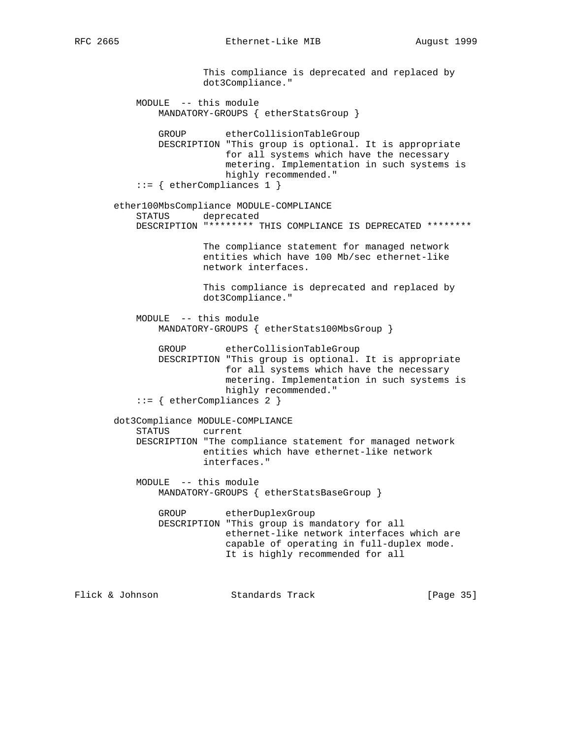This compliance is deprecated and replaced by dot3Compliance." MODULE -- this module MANDATORY-GROUPS { etherStatsGroup } GROUP etherCollisionTableGroup DESCRIPTION "This group is optional. It is appropriate for all systems which have the necessary metering. Implementation in such systems is highly recommended." ::= { etherCompliances 1 } ether100MbsCompliance MODULE-COMPLIANCE STATUS deprecated DESCRIPTION "\*\*\*\*\*\*\*\* THIS COMPLIANCE IS DEPRECATED \*\*\*\*\*\*\*\* The compliance statement for managed network entities which have 100 Mb/sec ethernet-like network interfaces. This compliance is deprecated and replaced by dot3Compliance." MODULE -- this module MANDATORY-GROUPS { etherStats100MbsGroup } GROUP etherCollisionTableGroup DESCRIPTION "This group is optional. It is appropriate for all systems which have the necessary metering. Implementation in such systems is highly recommended." ::= { etherCompliances 2 } dot3Compliance MODULE-COMPLIANCE STATUS current DESCRIPTION "The compliance statement for managed network entities which have ethernet-like network interfaces." MODULE -- this module MANDATORY-GROUPS { etherStatsBaseGroup } GROUP etherDuplexGroup DESCRIPTION "This group is mandatory for all ethernet-like network interfaces which are capable of operating in full-duplex mode. It is highly recommended for all

Flick & Johnson Standards Track [Page 35]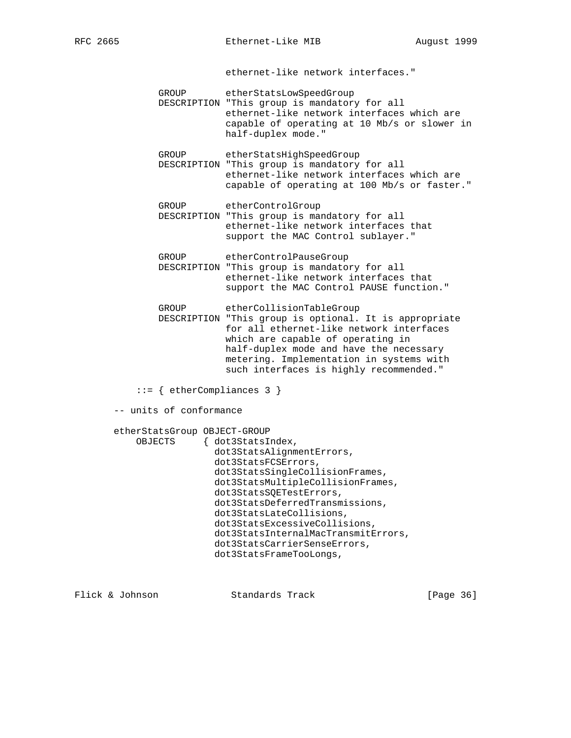ethernet-like network interfaces."

GROUP etherStatsLowSpeedGroup

 DESCRIPTION "This group is mandatory for all ethernet-like network interfaces which are capable of operating at 10 Mb/s or slower in half-duplex mode."

 GROUP etherStatsHighSpeedGroup DESCRIPTION "This group is mandatory for all ethernet-like network interfaces which are capable of operating at 100 Mb/s or faster."

GROUP etherControlGroup

 DESCRIPTION "This group is mandatory for all ethernet-like network interfaces that support the MAC Control sublayer."

 GROUP etherControlPauseGroup DESCRIPTION "This group is mandatory for all ethernet-like network interfaces that support the MAC Control PAUSE function."

GROUP etherCollisionTableGroup

- DESCRIPTION "This group is optional. It is appropriate for all ethernet-like network interfaces which are capable of operating in half-duplex mode and have the necessary metering. Implementation in systems with such interfaces is highly recommended."
- ::= { etherCompliances 3 }

-- units of conformance

etherStatsGroup OBJECT-GROUP

```
 OBJECTS { dot3StatsIndex,
               dot3StatsAlignmentErrors,
               dot3StatsFCSErrors,
               dot3StatsSingleCollisionFrames,
               dot3StatsMultipleCollisionFrames,
               dot3StatsSQETestErrors,
               dot3StatsDeferredTransmissions,
               dot3StatsLateCollisions,
               dot3StatsExcessiveCollisions,
               dot3StatsInternalMacTransmitErrors,
               dot3StatsCarrierSenseErrors,
               dot3StatsFrameTooLongs,
```
Flick & Johnson Standards Track [Page 36]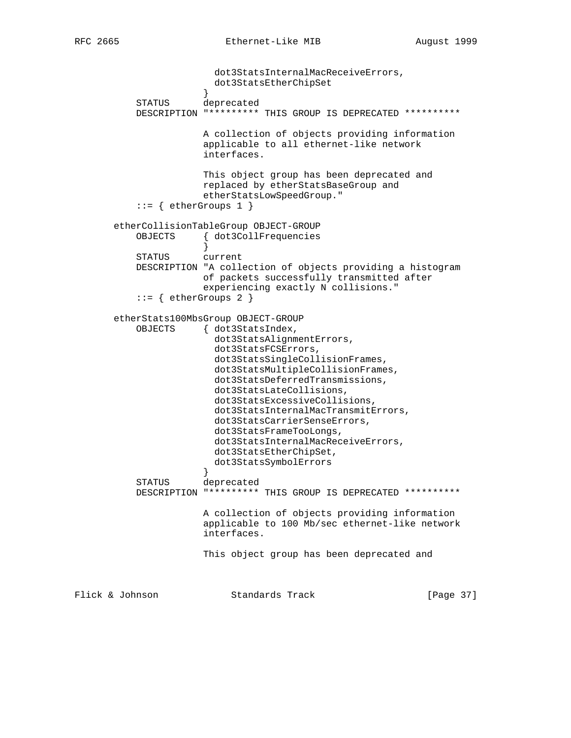```
 dot3StatsInternalMacReceiveErrors,
                       dot3StatsEtherChipSet
 }
           STATUS deprecated
           DESCRIPTION "********* THIS GROUP IS DEPRECATED **********
                       A collection of objects providing information
                       applicable to all ethernet-like network
                       interfaces.
                       This object group has been deprecated and
                       replaced by etherStatsBaseGroup and
                       etherStatsLowSpeedGroup."
           ::= { etherGroups 1 }
       etherCollisionTableGroup OBJECT-GROUP
           OBJECTS { dot3CollFrequencies
 }
           STATUS current
           DESCRIPTION "A collection of objects providing a histogram
                       of packets successfully transmitted after
                       experiencing exactly N collisions."
           ::= { etherGroups 2 }
       etherStats100MbsGroup OBJECT-GROUP
           OBJECTS { dot3StatsIndex,
                         dot3StatsAlignmentErrors,
                         dot3StatsFCSErrors,
                         dot3StatsSingleCollisionFrames,
                         dot3StatsMultipleCollisionFrames,
                         dot3StatsDeferredTransmissions,
                         dot3StatsLateCollisions,
                         dot3StatsExcessiveCollisions,
                         dot3StatsInternalMacTransmitErrors,
                         dot3StatsCarrierSenseErrors,
                         dot3StatsFrameTooLongs,
                         dot3StatsInternalMacReceiveErrors,
                         dot3StatsEtherChipSet,
                         dot3StatsSymbolErrors
 }
           STATUS deprecated
           DESCRIPTION "********* THIS GROUP IS DEPRECATED **********
                       A collection of objects providing information
                       applicable to 100 Mb/sec ethernet-like network
                       interfaces.
                       This object group has been deprecated and
Flick & Johnson               Standards Track                   [Page 37]
```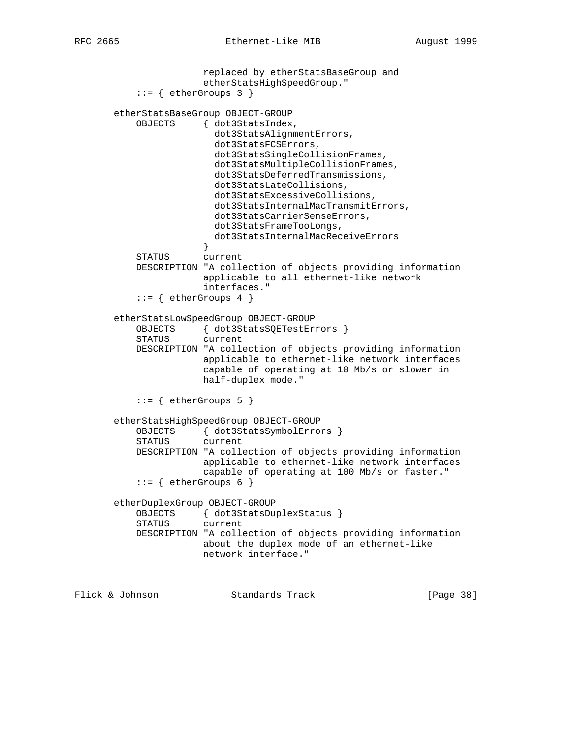```
 replaced by etherStatsBaseGroup and
                       etherStatsHighSpeedGroup."
           ::= { etherGroups 3 }
       etherStatsBaseGroup OBJECT-GROUP
           OBJECTS { dot3StatsIndex,
                         dot3StatsAlignmentErrors,
                         dot3StatsFCSErrors,
                         dot3StatsSingleCollisionFrames,
                         dot3StatsMultipleCollisionFrames,
                         dot3StatsDeferredTransmissions,
                         dot3StatsLateCollisions,
                         dot3StatsExcessiveCollisions,
                         dot3StatsInternalMacTransmitErrors,
                         dot3StatsCarrierSenseErrors,
                         dot3StatsFrameTooLongs,
                         dot3StatsInternalMacReceiveErrors
 }
           STATUS current
           DESCRIPTION "A collection of objects providing information
                       applicable to all ethernet-like network
                       interfaces."
          ::= { etherGroups 4 }
       etherStatsLowSpeedGroup OBJECT-GROUP
           OBJECTS { dot3StatsSQETestErrors }
           STATUS current
           DESCRIPTION "A collection of objects providing information
                       applicable to ethernet-like network interfaces
                       capable of operating at 10 Mb/s or slower in
                       half-duplex mode."
           ::= { etherGroups 5 }
       etherStatsHighSpeedGroup OBJECT-GROUP
           OBJECTS { dot3StatsSymbolErrors }
           STATUS current
           DESCRIPTION "A collection of objects providing information
                       applicable to ethernet-like network interfaces
                       capable of operating at 100 Mb/s or faster."
          ::= { etherGroups 6 }
       etherDuplexGroup OBJECT-GROUP
           OBJECTS { dot3StatsDuplexStatus }
           STATUS current
           DESCRIPTION "A collection of objects providing information
                       about the duplex mode of an ethernet-like
                       network interface."
```
Flick & Johnson Standards Track [Page 38]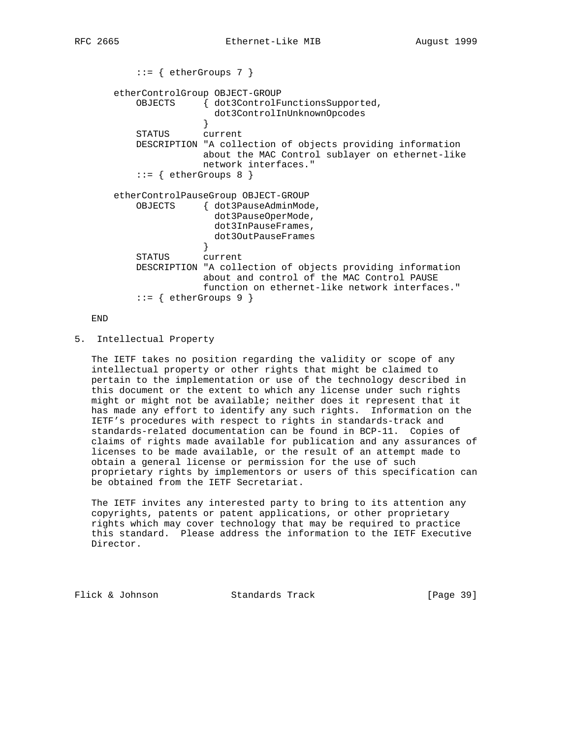```
 ::= { etherGroups 7 }
       etherControlGroup OBJECT-GROUP
           OBJECTS { dot3ControlFunctionsSupported,
                        dot3ControlInUnknownOpcodes
 }
           STATUS current
           DESCRIPTION "A collection of objects providing information
                     about the MAC Control sublayer on ethernet-like
                      network interfaces."
          ::= { etherGroups 8 }
       etherControlPauseGroup OBJECT-GROUP
           OBJECTS { dot3PauseAdminMode,
                        dot3PauseOperMode,
                        dot3InPauseFrames,
                     dot3OutPauseFrames}
 }
           STATUS current
           DESCRIPTION "A collection of objects providing information
                      about and control of the MAC Control PAUSE
                      function on ethernet-like network interfaces."
          ::= { etherGroups 9 }
```
END

5. Intellectual Property

 The IETF takes no position regarding the validity or scope of any intellectual property or other rights that might be claimed to pertain to the implementation or use of the technology described in this document or the extent to which any license under such rights might or might not be available; neither does it represent that it has made any effort to identify any such rights. Information on the IETF's procedures with respect to rights in standards-track and standards-related documentation can be found in BCP-11. Copies of claims of rights made available for publication and any assurances of licenses to be made available, or the result of an attempt made to obtain a general license or permission for the use of such proprietary rights by implementors or users of this specification can be obtained from the IETF Secretariat.

 The IETF invites any interested party to bring to its attention any copyrights, patents or patent applications, or other proprietary rights which may cover technology that may be required to practice this standard. Please address the information to the IETF Executive Director.

Flick & Johnson Standards Track [Page 39]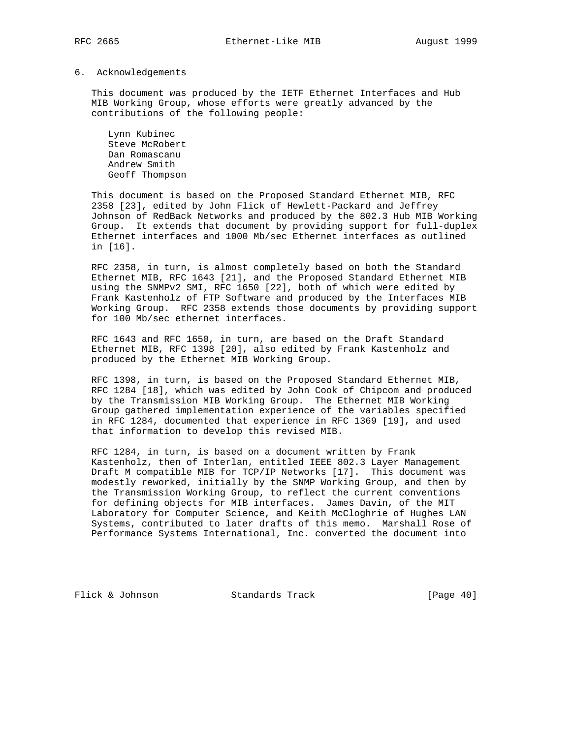#### 6. Acknowledgements

 This document was produced by the IETF Ethernet Interfaces and Hub MIB Working Group, whose efforts were greatly advanced by the contributions of the following people:

 Lynn Kubinec Steve McRobert Dan Romascanu Andrew Smith Geoff Thompson

 This document is based on the Proposed Standard Ethernet MIB, RFC 2358 [23], edited by John Flick of Hewlett-Packard and Jeffrey Johnson of RedBack Networks and produced by the 802.3 Hub MIB Working Group. It extends that document by providing support for full-duplex Ethernet interfaces and 1000 Mb/sec Ethernet interfaces as outlined in [16].

 RFC 2358, in turn, is almost completely based on both the Standard Ethernet MIB, RFC 1643 [21], and the Proposed Standard Ethernet MIB using the SNMPv2 SMI, RFC 1650 [22], both of which were edited by Frank Kastenholz of FTP Software and produced by the Interfaces MIB Working Group. RFC 2358 extends those documents by providing support for 100 Mb/sec ethernet interfaces.

 RFC 1643 and RFC 1650, in turn, are based on the Draft Standard Ethernet MIB, RFC 1398 [20], also edited by Frank Kastenholz and produced by the Ethernet MIB Working Group.

 RFC 1398, in turn, is based on the Proposed Standard Ethernet MIB, RFC 1284 [18], which was edited by John Cook of Chipcom and produced by the Transmission MIB Working Group. The Ethernet MIB Working Group gathered implementation experience of the variables specified in RFC 1284, documented that experience in RFC 1369 [19], and used that information to develop this revised MIB.

 RFC 1284, in turn, is based on a document written by Frank Kastenholz, then of Interlan, entitled IEEE 802.3 Layer Management Draft M compatible MIB for TCP/IP Networks [17]. This document was modestly reworked, initially by the SNMP Working Group, and then by the Transmission Working Group, to reflect the current conventions for defining objects for MIB interfaces. James Davin, of the MIT Laboratory for Computer Science, and Keith McCloghrie of Hughes LAN Systems, contributed to later drafts of this memo. Marshall Rose of Performance Systems International, Inc. converted the document into

Flick & Johnson Standards Track [Page 40]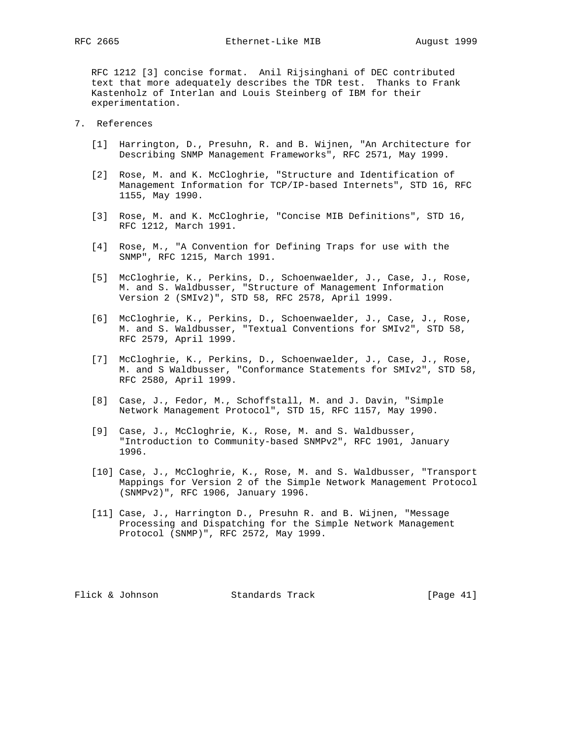RFC 1212 [3] concise format. Anil Rijsinghani of DEC contributed text that more adequately describes the TDR test. Thanks to Frank Kastenholz of Interlan and Louis Steinberg of IBM for their experimentation.

- 7. References
	- [1] Harrington, D., Presuhn, R. and B. Wijnen, "An Architecture for Describing SNMP Management Frameworks", RFC 2571, May 1999.
	- [2] Rose, M. and K. McCloghrie, "Structure and Identification of Management Information for TCP/IP-based Internets", STD 16, RFC 1155, May 1990.
	- [3] Rose, M. and K. McCloghrie, "Concise MIB Definitions", STD 16, RFC 1212, March 1991.
	- [4] Rose, M., "A Convention for Defining Traps for use with the SNMP", RFC 1215, March 1991.
	- [5] McCloghrie, K., Perkins, D., Schoenwaelder, J., Case, J., Rose, M. and S. Waldbusser, "Structure of Management Information Version 2 (SMIv2)", STD 58, RFC 2578, April 1999.
	- [6] McCloghrie, K., Perkins, D., Schoenwaelder, J., Case, J., Rose, M. and S. Waldbusser, "Textual Conventions for SMIv2", STD 58, RFC 2579, April 1999.
	- [7] McCloghrie, K., Perkins, D., Schoenwaelder, J., Case, J., Rose, M. and S Waldbusser, "Conformance Statements for SMIv2", STD 58, RFC 2580, April 1999.
	- [8] Case, J., Fedor, M., Schoffstall, M. and J. Davin, "Simple Network Management Protocol", STD 15, RFC 1157, May 1990.
	- [9] Case, J., McCloghrie, K., Rose, M. and S. Waldbusser, "Introduction to Community-based SNMPv2", RFC 1901, January 1996.
	- [10] Case, J., McCloghrie, K., Rose, M. and S. Waldbusser, "Transport Mappings for Version 2 of the Simple Network Management Protocol (SNMPv2)", RFC 1906, January 1996.
	- [11] Case, J., Harrington D., Presuhn R. and B. Wijnen, "Message Processing and Dispatching for the Simple Network Management Protocol (SNMP)", RFC 2572, May 1999.

Flick & Johnson Standards Track [Page 41]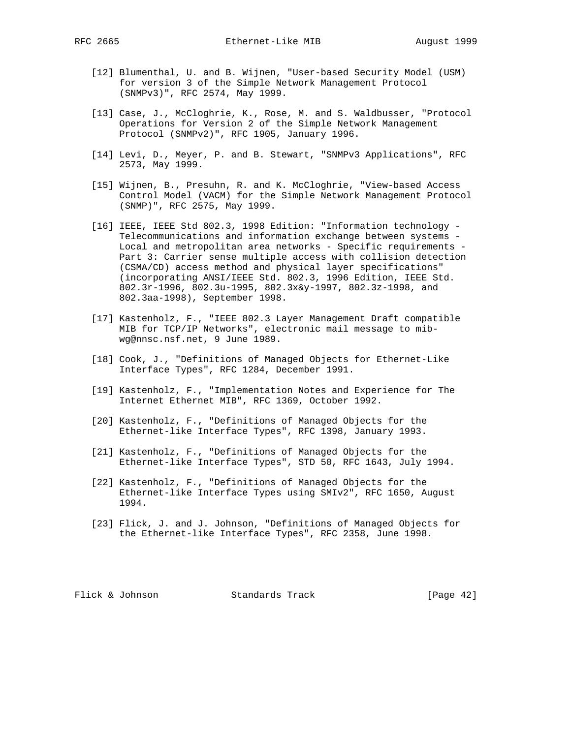- [12] Blumenthal, U. and B. Wijnen, "User-based Security Model (USM) for version 3 of the Simple Network Management Protocol (SNMPv3)", RFC 2574, May 1999.
- [13] Case, J., McCloghrie, K., Rose, M. and S. Waldbusser, "Protocol Operations for Version 2 of the Simple Network Management Protocol (SNMPv2)", RFC 1905, January 1996.
- [14] Levi, D., Meyer, P. and B. Stewart, "SNMPv3 Applications", RFC 2573, May 1999.
- [15] Wijnen, B., Presuhn, R. and K. McCloghrie, "View-based Access Control Model (VACM) for the Simple Network Management Protocol (SNMP)", RFC 2575, May 1999.
- [16] IEEE, IEEE Std 802.3, 1998 Edition: "Information technology Telecommunications and information exchange between systems - Local and metropolitan area networks - Specific requirements - Part 3: Carrier sense multiple access with collision detection (CSMA/CD) access method and physical layer specifications" (incorporating ANSI/IEEE Std. 802.3, 1996 Edition, IEEE Std. 802.3r-1996, 802.3u-1995, 802.3x&y-1997, 802.3z-1998, and 802.3aa-1998), September 1998.
- [17] Kastenholz, F., "IEEE 802.3 Layer Management Draft compatible MIB for TCP/IP Networks", electronic mail message to mib wg@nnsc.nsf.net, 9 June 1989.
- [18] Cook, J., "Definitions of Managed Objects for Ethernet-Like Interface Types", RFC 1284, December 1991.
- [19] Kastenholz, F., "Implementation Notes and Experience for The Internet Ethernet MIB", RFC 1369, October 1992.
- [20] Kastenholz, F., "Definitions of Managed Objects for the Ethernet-like Interface Types", RFC 1398, January 1993.
- [21] Kastenholz, F., "Definitions of Managed Objects for the Ethernet-like Interface Types", STD 50, RFC 1643, July 1994.
- [22] Kastenholz, F., "Definitions of Managed Objects for the Ethernet-like Interface Types using SMIv2", RFC 1650, August 1994.
- [23] Flick, J. and J. Johnson, "Definitions of Managed Objects for the Ethernet-like Interface Types", RFC 2358, June 1998.

Flick & Johnson Standards Track [Page 42]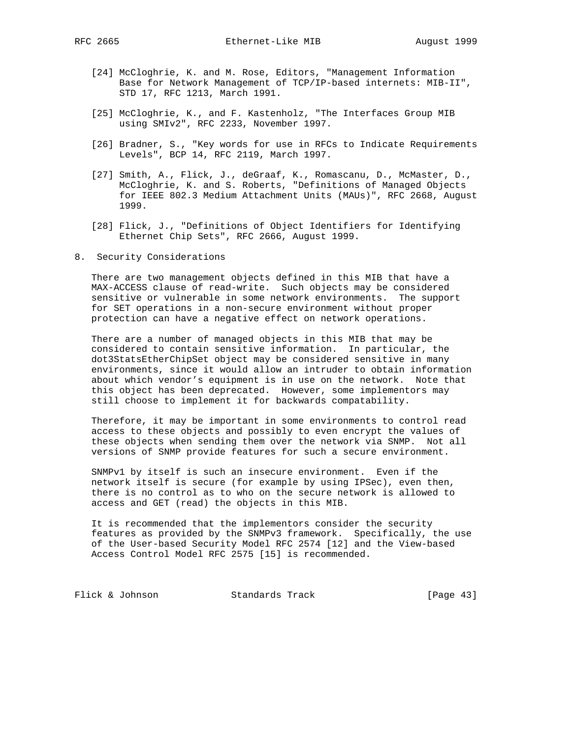- [24] McCloghrie, K. and M. Rose, Editors, "Management Information Base for Network Management of TCP/IP-based internets: MIB-II", STD 17, RFC 1213, March 1991.
- [25] McCloghrie, K., and F. Kastenholz, "The Interfaces Group MIB using SMIv2", RFC 2233, November 1997.
- [26] Bradner, S., "Key words for use in RFCs to Indicate Requirements Levels", BCP 14, RFC 2119, March 1997.
- [27] Smith, A., Flick, J., deGraaf, K., Romascanu, D., McMaster, D., McCloghrie, K. and S. Roberts, "Definitions of Managed Objects for IEEE 802.3 Medium Attachment Units (MAUs)", RFC 2668, August 1999.
- [28] Flick, J., "Definitions of Object Identifiers for Identifying Ethernet Chip Sets", RFC 2666, August 1999.
- 8. Security Considerations

 There are two management objects defined in this MIB that have a MAX-ACCESS clause of read-write. Such objects may be considered sensitive or vulnerable in some network environments. The support for SET operations in a non-secure environment without proper protection can have a negative effect on network operations.

 There are a number of managed objects in this MIB that may be considered to contain sensitive information. In particular, the dot3StatsEtherChipSet object may be considered sensitive in many environments, since it would allow an intruder to obtain information about which vendor's equipment is in use on the network. Note that this object has been deprecated. However, some implementors may still choose to implement it for backwards compatability.

 Therefore, it may be important in some environments to control read access to these objects and possibly to even encrypt the values of these objects when sending them over the network via SNMP. Not all versions of SNMP provide features for such a secure environment.

 SNMPv1 by itself is such an insecure environment. Even if the network itself is secure (for example by using IPSec), even then, there is no control as to who on the secure network is allowed to access and GET (read) the objects in this MIB.

 It is recommended that the implementors consider the security features as provided by the SNMPv3 framework. Specifically, the use of the User-based Security Model RFC 2574 [12] and the View-based Access Control Model RFC 2575 [15] is recommended.

Flick & Johnson Standards Track [Page 43]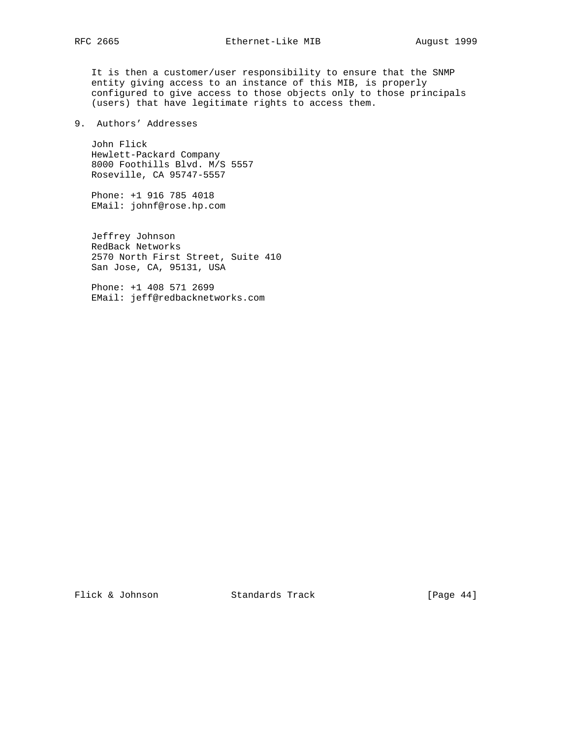It is then a customer/user responsibility to ensure that the SNMP entity giving access to an instance of this MIB, is properly configured to give access to those objects only to those principals (users) that have legitimate rights to access them.

# 9. Authors' Addresses

 John Flick Hewlett-Packard Company 8000 Foothills Blvd. M/S 5557 Roseville, CA 95747-5557

 Phone: +1 916 785 4018 EMail: johnf@rose.hp.com

 Jeffrey Johnson RedBack Networks 2570 North First Street, Suite 410 San Jose, CA, 95131, USA

 Phone: +1 408 571 2699 EMail: jeff@redbacknetworks.com

Flick & Johnson Standards Track [Page 44]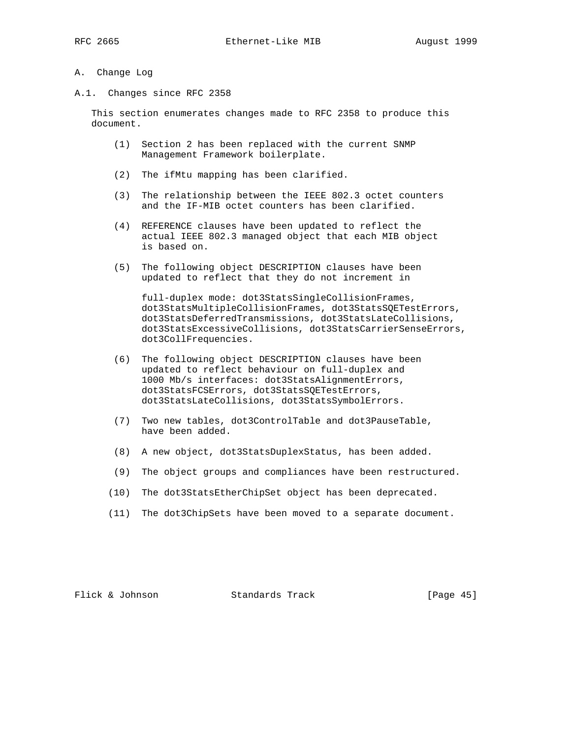#### A. Change Log

A.1. Changes since RFC 2358

 This section enumerates changes made to RFC 2358 to produce this document.

- (1) Section 2 has been replaced with the current SNMP Management Framework boilerplate.
- (2) The ifMtu mapping has been clarified.
- (3) The relationship between the IEEE 802.3 octet counters and the IF-MIB octet counters has been clarified.
- (4) REFERENCE clauses have been updated to reflect the actual IEEE 802.3 managed object that each MIB object is based on.
- (5) The following object DESCRIPTION clauses have been updated to reflect that they do not increment in

 full-duplex mode: dot3StatsSingleCollisionFrames, dot3StatsMultipleCollisionFrames, dot3StatsSQETestErrors, dot3StatsDeferredTransmissions, dot3StatsLateCollisions, dot3StatsExcessiveCollisions, dot3StatsCarrierSenseErrors, dot3CollFrequencies.

- (6) The following object DESCRIPTION clauses have been updated to reflect behaviour on full-duplex and 1000 Mb/s interfaces: dot3StatsAlignmentErrors, dot3StatsFCSErrors, dot3StatsSQETestErrors, dot3StatsLateCollisions, dot3StatsSymbolErrors.
- (7) Two new tables, dot3ControlTable and dot3PauseTable, have been added.
- (8) A new object, dot3StatsDuplexStatus, has been added.
- (9) The object groups and compliances have been restructured.
- (10) The dot3StatsEtherChipSet object has been deprecated.
- (11) The dot3ChipSets have been moved to a separate document.

Flick & Johnson Standards Track [Page 45]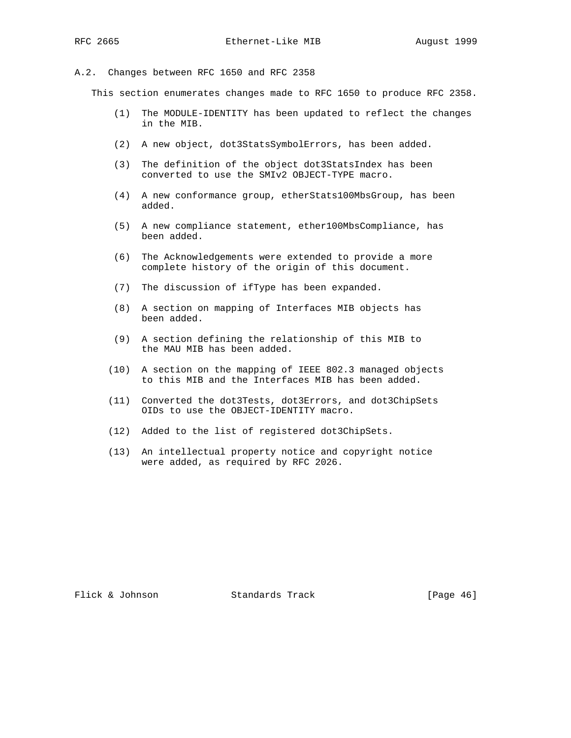#### A.2. Changes between RFC 1650 and RFC 2358

This section enumerates changes made to RFC 1650 to produce RFC 2358.

- (1) The MODULE-IDENTITY has been updated to reflect the changes in the MIB.
- (2) A new object, dot3StatsSymbolErrors, has been added.
- (3) The definition of the object dot3StatsIndex has been converted to use the SMIv2 OBJECT-TYPE macro.
- (4) A new conformance group, etherStats100MbsGroup, has been added.
- (5) A new compliance statement, ether100MbsCompliance, has been added.
- (6) The Acknowledgements were extended to provide a more complete history of the origin of this document.
- (7) The discussion of ifType has been expanded.
- (8) A section on mapping of Interfaces MIB objects has been added.
- (9) A section defining the relationship of this MIB to the MAU MIB has been added.
- (10) A section on the mapping of IEEE 802.3 managed objects to this MIB and the Interfaces MIB has been added.
- (11) Converted the dot3Tests, dot3Errors, and dot3ChipSets OIDs to use the OBJECT-IDENTITY macro.
- (12) Added to the list of registered dot3ChipSets.
- (13) An intellectual property notice and copyright notice were added, as required by RFC 2026.

Flick & Johnson Standards Track [Page 46]